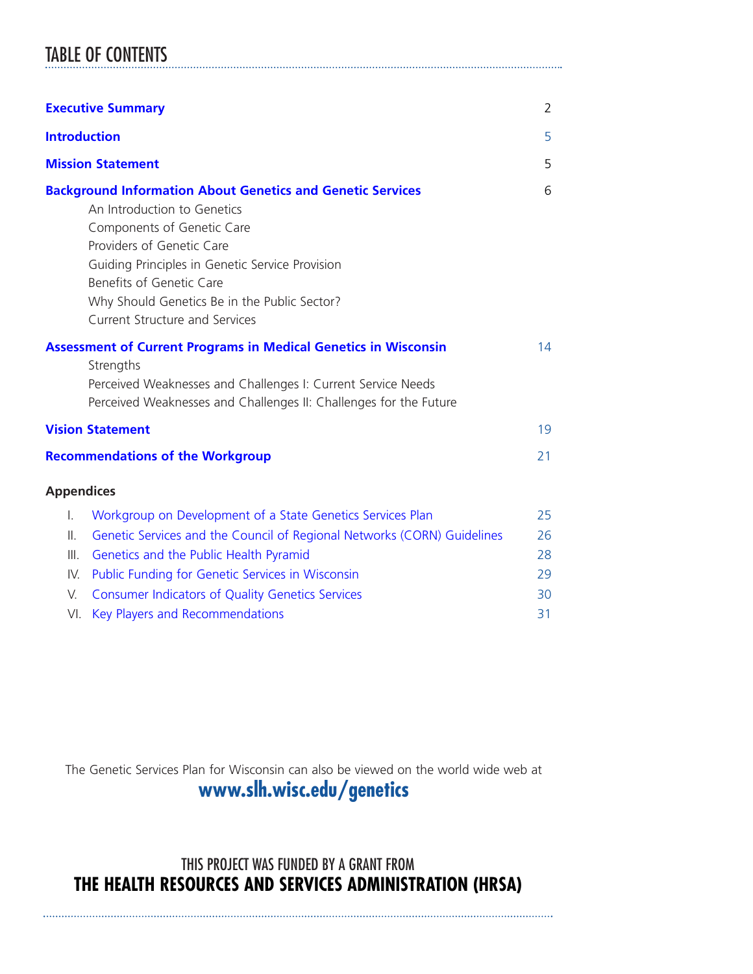# TABLE OF CONTENTS

|                     | <b>Executive Summary</b>                                                                                                                                                                                                                                                                                                            | $\overline{2}$ |
|---------------------|-------------------------------------------------------------------------------------------------------------------------------------------------------------------------------------------------------------------------------------------------------------------------------------------------------------------------------------|----------------|
| <b>Introduction</b> |                                                                                                                                                                                                                                                                                                                                     | 5              |
|                     | <b>Mission Statement</b>                                                                                                                                                                                                                                                                                                            | 5              |
|                     | <b>Background Information About Genetics and Genetic Services</b><br>An Introduction to Genetics<br>Components of Genetic Care<br>Providers of Genetic Care<br>Guiding Principles in Genetic Service Provision<br>Benefits of Genetic Care<br>Why Should Genetics Be in the Public Sector?<br><b>Current Structure and Services</b> | 6              |
|                     | <b>Assessment of Current Programs in Medical Genetics in Wisconsin</b><br>Strengths<br>Perceived Weaknesses and Challenges I: Current Service Needs<br>Perceived Weaknesses and Challenges II: Challenges for the Future                                                                                                            | 14             |
|                     | <b>Vision Statement</b>                                                                                                                                                                                                                                                                                                             | 19             |
|                     | <b>Recommendations of the Workgroup</b>                                                                                                                                                                                                                                                                                             | 21             |
| <b>Appendices</b>   |                                                                                                                                                                                                                                                                                                                                     |                |
| T.<br>Ⅱ.<br>III.    | Workgroup on Development of a State Genetics Services Plan<br>Genetic Services and the Council of Regional Networks (CORN) Guidelines<br>Genetics and the Public Health Pyramid                                                                                                                                                     | 25<br>26<br>28 |
| V.                  | IV. Public Funding for Genetic Services in Wisconsin<br><b>Consumer Indicators of Quality Genetics Services</b>                                                                                                                                                                                                                     | 29<br>30       |
| VI.                 | Key Players and Recommendations                                                                                                                                                                                                                                                                                                     | 31             |

The Genetic Services Plan for Wisconsin can also be viewed on the world wide web at

### **[www.slh.wisc.edu/genetics](http://www.slh.wisc.edu/genetics)**

### THIS PROJECT WAS FUNDED BY A GRANT FROM **THE HEALTH RESOURCES AND SERVICES ADMINISTRATION (HRSA)**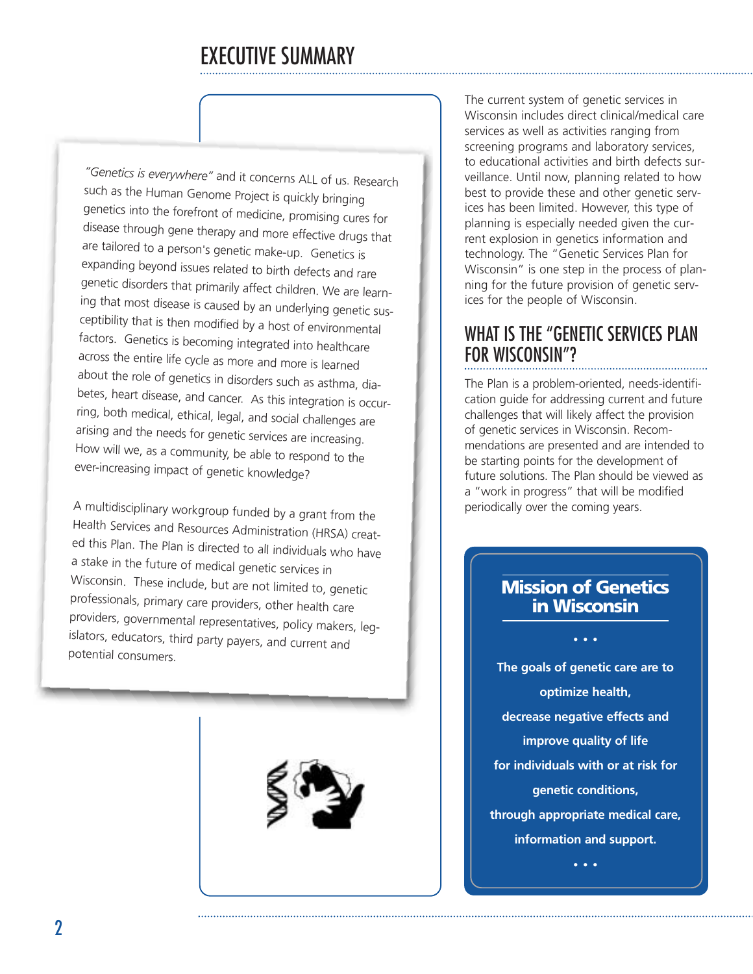# EXECUTIVE SUMMARY

<span id="page-1-0"></span>*"Genetics is everywhere"* and it concerns ALL of us. Research such as the Human Genome Project is quickly bringing genetics into the forefront of medicine, promising cures for disease through gene therapy and more effective drugs that are tailored to <sup>a</sup> person's genetic make-up. Genetics is expanding beyond issues related to birth defects and rare genetic disorders that primarily affect children. We are learning that most disease is caused by an underlying genetic susceptibility that is then modified by <sup>a</sup> host of environmental factors. Genetics is becoming integrated into healthcare across the entire life cycle as more and more is learned about the role of genetics in disorders such as asthma, diabetes, heart disease, and cancer. As this integration is occurring, both medical, ethical, legal, and social challenges are arising and the needs for genetic services are increasing. How will we, as <sup>a</sup> community, be able to respond to the ever-increasing impact of genetic knowledge?

<sup>A</sup> multidisciplinary workgroup funded by <sup>a</sup> grant from the Health Services and Resources Administration (HRSA) created this Plan. The Plan is directed to all individuals who have <sup>a</sup> stake in the future of medical genetic services in Wisconsin. These include, but are not limited to, genetic professionals, primary care providers, other health care providers, governmental representatives, policy makers, legislators, educators, third party payers, and current and potential consumers.



The current system of genetic services in Wisconsin includes direct clinical/medical care services as well as activities ranging from screening programs and laboratory services, to educational activities and birth defects surveillance. Until now, planning related to how best to provide these and other genetic services has been limited. However, this type of planning is especially needed given the current explosion in genetics information and technology. The "Genetic Services Plan for Wisconsin" is one step in the process of planning for the future provision of genetic services for the people of Wisconsin.

# WHAT IS THE "GENETIC SERVICES PLAN FOR WISCONSIN"?

The Plan is a problem-oriented, needs-identification guide for addressing current and future challenges that will likely affect the provision of genetic services in Wisconsin. Recommendations are presented and are intended to be starting points for the development of future solutions. The Plan should be viewed as a "work in progress" that will be modified periodically over the coming years.

### **Mission of Genetics in Wisconsin**

**•••**

**The goals of genetic care are to optimize health, decrease negative effects and improve quality of life for individuals with or at risk for genetic conditions, through appropriate medical care, information and support.**

**•••**

 $\boldsymbol{\eta}$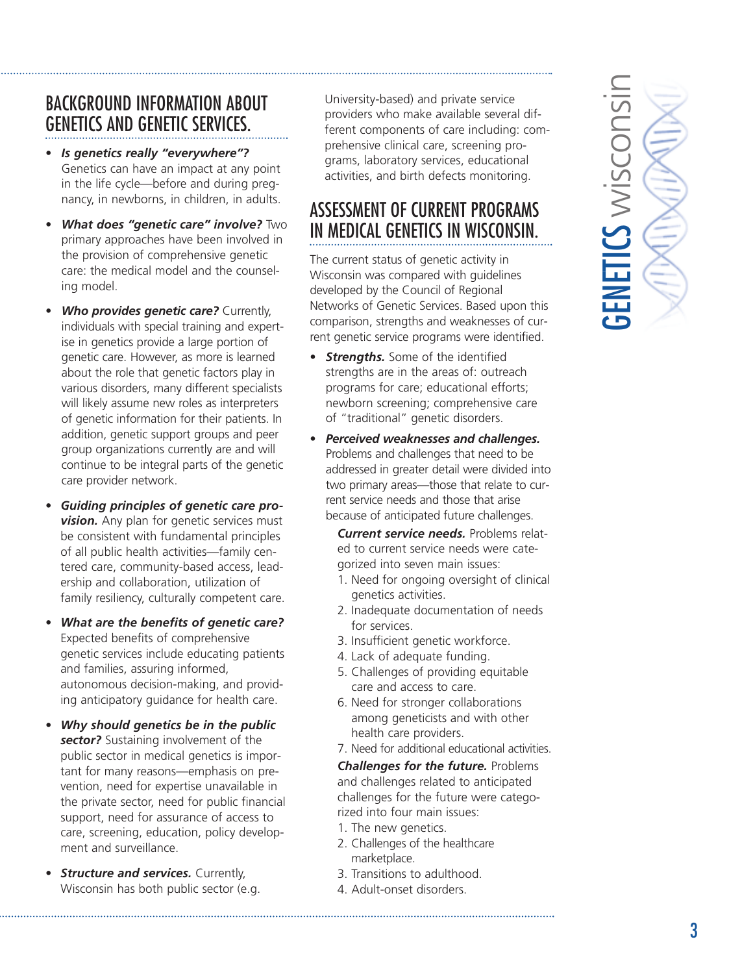# BACKGROUND INFORMATION ABOUT GENETICS AND GENETIC SERVICES.

- *Is genetics really "everywhere"?* Genetics can have an impact at any point in the life cycle—before and during pregnancy, in newborns, in children, in adults.
- *What does "genetic care" involve?* Two primary approaches have been involved in the provision of comprehensive genetic care: the medical model and the counseling model.
- *Who provides genetic care?* Currently, individuals with special training and expertise in genetics provide a large portion of genetic care. However, as more is learned about the role that genetic factors play in various disorders, many different specialists will likely assume new roles as interpreters of genetic information for their patients. In addition, genetic support groups and peer group organizations currently are and will continue to be integral parts of the genetic care provider network.
- *Guiding principles of genetic care pro***vision.** Any plan for genetic services must be consistent with fundamental principles of all public health activities—family centered care, community-based access, leadership and collaboration, utilization of family resiliency, culturally competent care.
- *What are the benefits of genetic care?* Expected benefits of comprehensive genetic services include educating patients and families, assuring informed, autonomous decision-making, and providing anticipatory guidance for health care.
- *Why should genetics be in the public sector?* Sustaining involvement of the public sector in medical genetics is important for many reasons—emphasis on prevention, need for expertise unavailable in the private sector, need for public financial support, need for assurance of access to care, screening, education, policy development and surveillance.
- *Structure and services. Currently,* Wisconsin has both public sector (e.g.

University-based) and private service providers who make available several different components of care including: comprehensive clinical care, screening programs, laboratory services, educational activities, and birth defects monitoring.

# ASSESSMENT OF CURRENT PROGRAMS IN MEDICAL GENETICS IN WISCONSIN.

The current status of genetic activity in Wisconsin was compared with guidelines developed by the Council of Regional Networks of Genetic Services. Based upon this comparison, strengths and weaknesses of current genetic service programs were identified.

- *Strengths.* Some of the identified strengths are in the areas of: outreach programs for care; educational efforts; newborn screening; comprehensive care of "traditional" genetic disorders.
- *Perceived weaknesses and challenges.* Problems and challenges that need to be addressed in greater detail were divided into two primary areas—those that relate to current service needs and those that arise because of anticipated future challenges.

*Current service needs.* Problems related to current service needs were categorized into seven main issues:

- 1. Need for ongoing oversight of clinical genetics activities.
- 2. Inadequate documentation of needs for services.
- 3. Insufficient genetic workforce.
- 4. Lack of adequate funding.
- 5. Challenges of providing equitable care and access to care.
- 6. Need for stronger collaborations among geneticists and with other health care providers.
- 7. Need for additional educational activities.

*Challenges for the future.* Problems and challenges related to anticipated challenges for the future were categorized into four main issues: 1. The new genetics.

- 2. Challenges of the healthcare marketplace.
- 3. Transitions to adulthood.
- 4. Adult-onset disorders.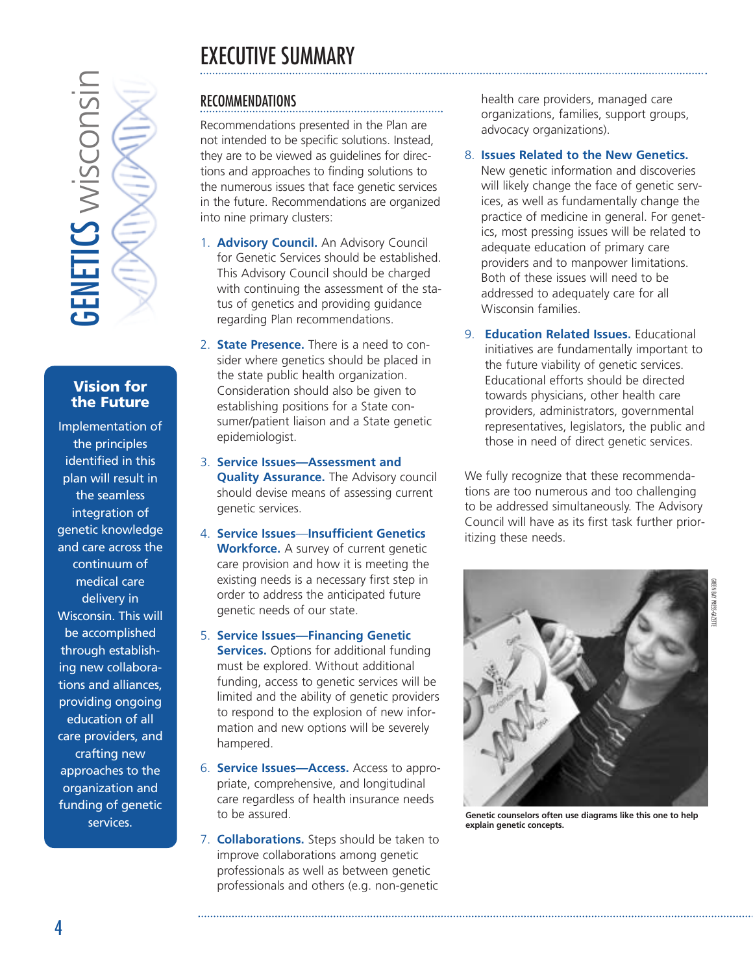# EXECUTIVE SUMMARY



### **Vision for the Future**

**Services.**<br> **Services**<br> **Services.**<br> **CENETICS Wision five Future plementati**<br>
the princip dentified in<br>
lan will rest<br>
integration netic know<br>
d care acro<br>
continuum medical ca<br>
delivery i<br>
isconsin. The accomplis<br>
g new Implementation of the principles identified in this plan will result in the seamless integration of genetic knowledge and care across the continuum of medical care delivery in Wisconsin. This will be accomplished through establishing new collaborations and alliances, providing ongoing education of all care providers, and crafting new approaches to the organization and funding of genetic services.

### RECOMMENDATIONS

Recommendations presented in the Plan are not intended to be specific solutions. Instead, they are to be viewed as guidelines for directions and approaches to finding solutions to the numerous issues that face genetic services in the future. Recommendations are organized into nine primary clusters:

- 1. **Advisory Council.** An Advisory Council for Genetic Services should be established. This Advisory Council should be charged with continuing the assessment of the status of genetics and providing guidance regarding Plan recommendations.
- 2. **State Presence.** There is a need to consider where genetics should be placed in the state public health organization. Consideration should also be given to establishing positions for a State consumer/patient liaison and a State genetic epidemiologist.
- 3. **Service Issues—Assessment and Quality Assurance.** The Advisory council should devise means of assessing current genetic services.
- 4. **Service Issues**—**Insufficient Genetics Workforce.** A survey of current genetic care provision and how it is meeting the existing needs is a necessary first step in order to address the anticipated future genetic needs of our state.
- 5. **Service Issues—Financing Genetic Services.** Options for additional funding must be explored. Without additional funding, access to genetic services will be limited and the ability of genetic providers to respond to the explosion of new information and new options will be severely hampered.
- 6. **Service Issues—Access.** Access to appropriate, comprehensive, and longitudinal care regardless of health insurance needs to be assured.
- 7. **Collaborations.** Steps should be taken to improve collaborations among genetic professionals as well as between genetic professionals and others (e.g. non-genetic

health care providers, managed care organizations, families, support groups, advocacy organizations).

### 8. **Issues Related to the New Genetics.**

New genetic information and discoveries will likely change the face of genetic services, as well as fundamentally change the practice of medicine in general. For genetics, most pressing issues will be related to adequate education of primary care providers and to manpower limitations. Both of these issues will need to be addressed to adequately care for all Wisconsin families.

9. **Education Related Issues.** Educational initiatives are fundamentally important to the future viability of genetic services. Educational efforts should be directed towards physicians, other health care providers, administrators, governmental representatives, legislators, the public and those in need of direct genetic services.

We fully recognize that these recommendations are too numerous and too challenging to be addressed simultaneously. The Advisory Council will have as its first task further prioritizing these needs.



GREEN BAY PRESS-GAZETTE

**Genetic counselors often use diagrams like this one to help explain genetic concepts.**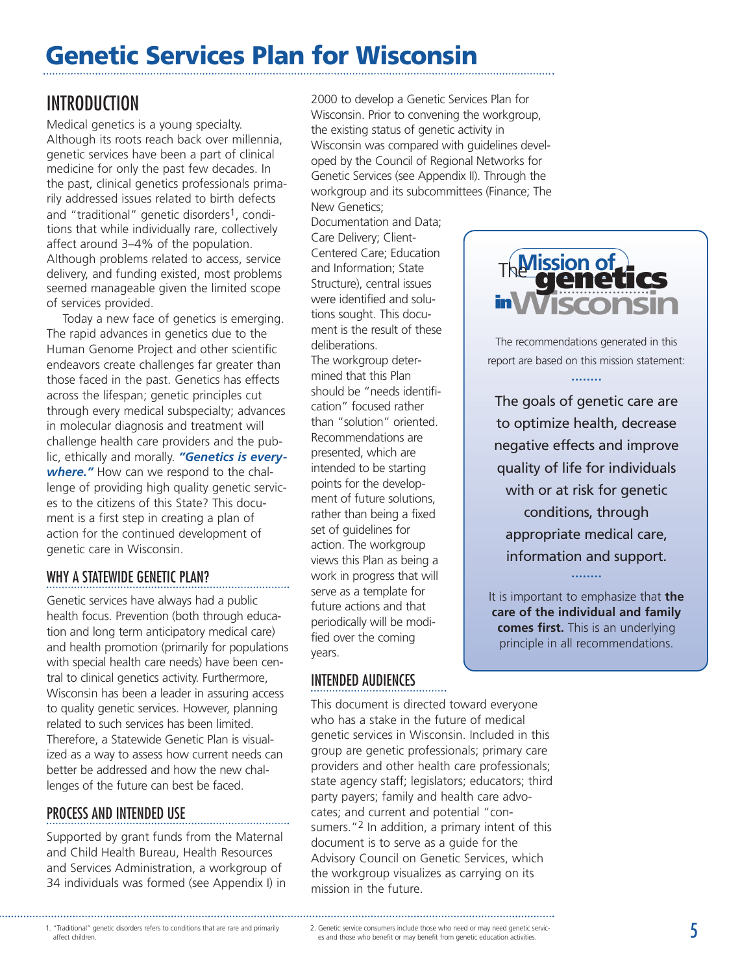# <span id="page-4-0"></span>**Genetic Services Plan for Wisconsin**

# INTRODUCTION

Medical genetics is a young specialty. Although its roots reach back over millennia, genetic services have been a part of clinical medicine for only the past few decades. In the past, clinical genetics professionals primarily addressed issues related to birth defects and "traditional" genetic disorders<sup>1</sup>, conditions that while individually rare, collectively affect around 3–4% of the population. Although problems related to access, service delivery, and funding existed, most problems seemed manageable given the limited scope of services provided.

Today a new face of genetics is emerging. The rapid advances in genetics due to the Human Genome Project and other scientific endeavors create challenges far greater than those faced in the past. Genetics has effects across the lifespan; genetic principles cut through every medical subspecialty; advances in molecular diagnosis and treatment will challenge health care providers and the public, ethically and morally. *"Genetics is everywhere."* How can we respond to the challenge of providing high quality genetic services to the citizens of this State? This document is a first step in creating a plan of action for the continued development of genetic care in Wisconsin.

### WHY A STATEWIDE GENETIC PLAN?

Genetic services have always had a public health focus. Prevention (both through education and long term anticipatory medical care) and health promotion (primarily for populations with special health care needs) have been central to clinical genetics activity. Furthermore, Wisconsin has been a leader in assuring access to quality genetic services. However, planning related to such services has been limited. Therefore, a Statewide Genetic Plan is visualized as a way to assess how current needs can better be addressed and how the new challenges of the future can best be faced.

### PROCESS AND INTENDED USE

Supported by grant funds from the Maternal and Child Health Bureau, Health Resources and Services Administration, a workgroup of 34 individuals was formed (see Appendix I) in 2000 to develop a Genetic Services Plan for Wisconsin. Prior to convening the workgroup, the existing status of genetic activity in Wisconsin was compared with guidelines developed by the Council of Regional Networks for Genetic Services (see Appendix II). Through the workgroup and its subcommittees (Finance; The New Genetics;

Documentation and Data; Care Delivery; Client-Centered Care; Education and Information; State Structure), central issues were identified and solutions sought. This document is the result of these deliberations. The workgroup determined that this Plan should be "needs identification" focused rather than "solution" oriented. Recommendations are presented, which are intended to be starting points for the development of future solutions, rather than being a fixed set of quidelines for action. The workgroup views this Plan as being a work in progress that will serve as a template for future actions and that periodically will be modified over the coming years.

### INTENDED AUDIENCES

This document is directed toward everyone who has a stake in the future of medical genetic services in Wisconsin. Included in this group are genetic professionals; primary care providers and other health care professionals; state agency staff; legislators; educators; third party payers; family and health care advocates; and current and potential "consumers."<sup>2</sup> In addition, a primary intent of this document is to serve as a guide for the Advisory Council on Genetic Services, which the workgroup visualizes as carrying on its mission in the future.



The recommendations generated in this report are based on this mission statement:

........

The goals of genetic care are to optimize health, decrease negative effects and improve quality of life for individuals with or at risk for genetic conditions, through appropriate medical care, information and support. ........

It is important to emphasize that **the care of the individual and family comes first.** This is an underlying principle in all recommendations.

<sup>1. &</sup>quot;Traditional" genetic disorders refers to conditions that are rare and primarily 2. Genetic service consumers include those who need or may need genetic service-<br>affect children. es and those who benefit or may benefit affect children.

es and those who benefit or may benefit from genetic education activities.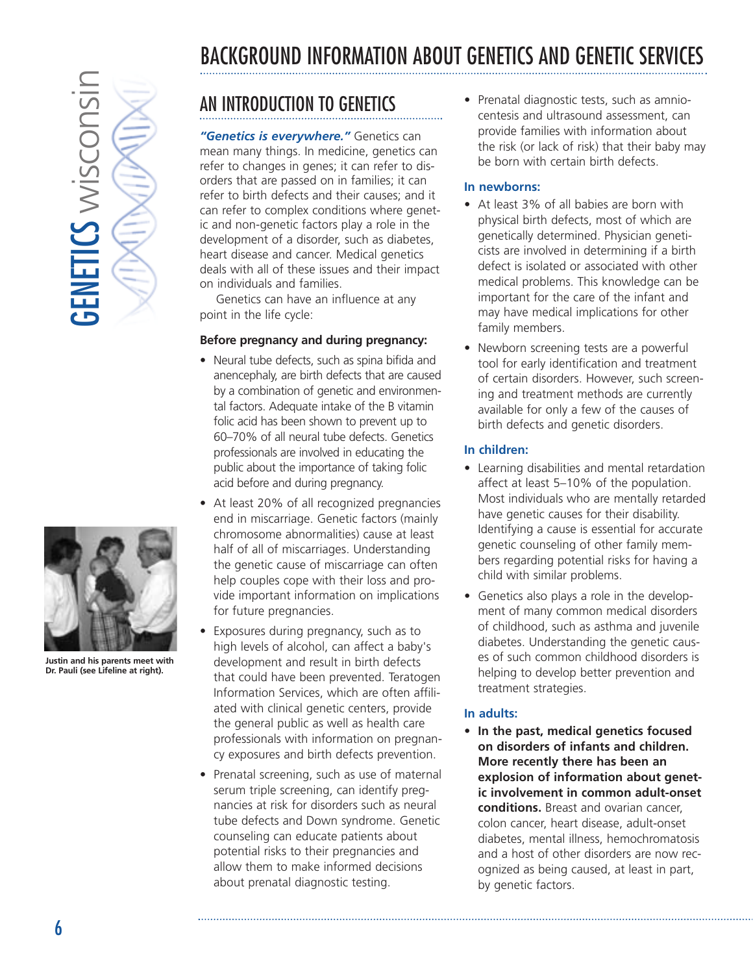# <span id="page-5-0"></span>**GENETICS wisconsin**  $5$ ENETICS wisconsi



**Justin and his parents meet with Dr. Pauli (see Lifeline at right).**

# BACKGROUND INFORMATION ABOUT GENETICS AND GENETIC SERVICES

# AN INTRODUCTION TO GENETICS

*"Genetics is everywhere."* Genetics can mean many things. In medicine, genetics can refer to changes in genes; it can refer to disorders that are passed on in families; it can refer to birth defects and their causes; and it can refer to complex conditions where genetic and non-genetic factors play a role in the development of a disorder, such as diabetes, heart disease and cancer. Medical genetics deals with all of these issues and their impact on individuals and families.

Genetics can have an influence at any point in the life cycle:

### **Before pregnancy and during pregnancy:**

- Neural tube defects, such as spina bifida and anencephaly, are birth defects that are caused by a combination of genetic and environmental factors. Adequate intake of the B vitamin folic acid has been shown to prevent up to 60–70% of all neural tube defects. Genetics professionals are involved in educating the public about the importance of taking folic acid before and during pregnancy.
- At least 20% of all recognized pregnancies end in miscarriage. Genetic factors (mainly chromosome abnormalities) cause at least half of all of miscarriages. Understanding the genetic cause of miscarriage can often help couples cope with their loss and provide important information on implications for future pregnancies.
- Exposures during pregnancy, such as to high levels of alcohol, can affect a baby's development and result in birth defects that could have been prevented. Teratogen Information Services, which are often affiliated with clinical genetic centers, provide the general public as well as health care professionals with information on pregnancy exposures and birth defects prevention.
- Prenatal screening, such as use of maternal serum triple screening, can identify pregnancies at risk for disorders such as neural tube defects and Down syndrome. Genetic counseling can educate patients about potential risks to their pregnancies and allow them to make informed decisions about prenatal diagnostic testing.

• Prenatal diagnostic tests, such as amniocentesis and ultrasound assessment, can provide families with information about the risk (or lack of risk) that their baby may be born with certain birth defects.

### **In newborns:**

- At least 3% of all babies are born with physical birth defects, most of which are genetically determined. Physician geneticists are involved in determining if a birth defect is isolated or associated with other medical problems. This knowledge can be important for the care of the infant and may have medical implications for other family members.
- Newborn screening tests are a powerful tool for early identification and treatment of certain disorders. However, such screening and treatment methods are currently available for only a few of the causes of birth defects and genetic disorders.

### **In children:**

- Learning disabilities and mental retardation affect at least 5–10% of the population. Most individuals who are mentally retarded have genetic causes for their disability. Identifying a cause is essential for accurate genetic counseling of other family members regarding potential risks for having a child with similar problems.
- Genetics also plays a role in the development of many common medical disorders of childhood, such as asthma and juvenile diabetes. Understanding the genetic causes of such common childhood disorders is helping to develop better prevention and treatment strategies.

### **In adults:**

• **In the past, medical genetics focused on disorders of infants and children. More recently there has been an explosion of information about genetic involvement in common adult-onset conditions.** Breast and ovarian cancer, colon cancer, heart disease, adult-onset diabetes, mental illness, hemochromatosis and a host of other disorders are now recognized as being caused, at least in part, by genetic factors.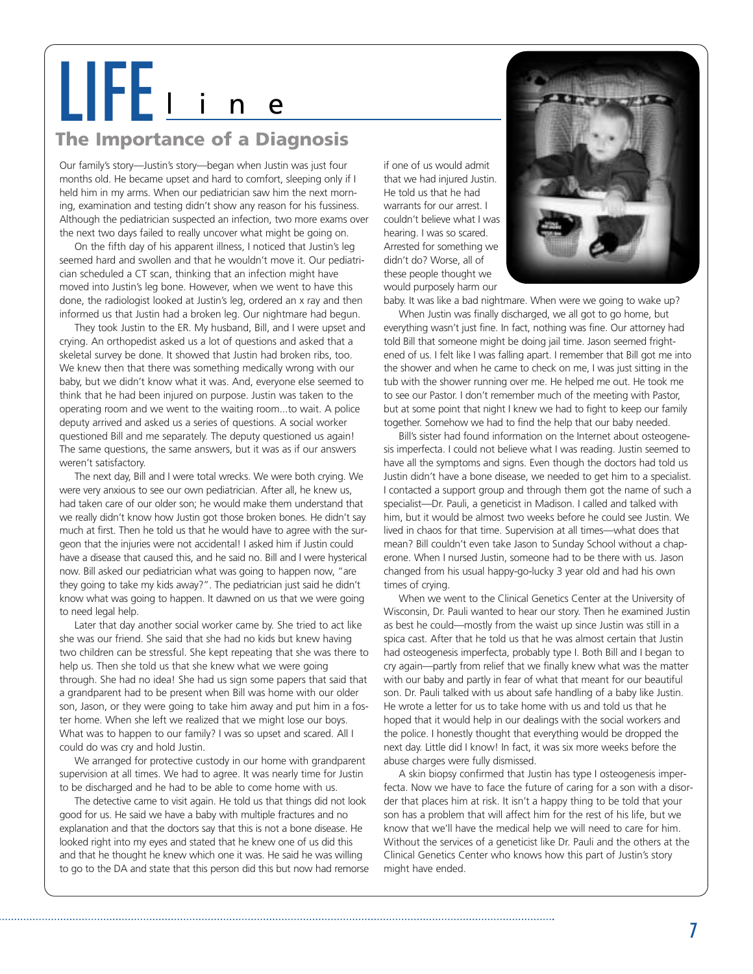# LIFE<sup>l</sup> <sup>i</sup> <sup>n</sup> <sup>e</sup>

# **The Importance of a Diagnosis**

Our family's story—Justin's story—began when Justin was just four months old. He became upset and hard to comfort, sleeping only if I held him in my arms. When our pediatrician saw him the next morning, examination and testing didn't show any reason for his fussiness. Although the pediatrician suspected an infection, two more exams over the next two days failed to really uncover what might be going on.

On the fifth day of his apparent illness, I noticed that Justin's leg seemed hard and swollen and that he wouldn't move it. Our pediatrician scheduled a CT scan, thinking that an infection might have moved into Justin's leg bone. However, when we went to have this done, the radiologist looked at Justin's leg, ordered an x ray and then informed us that Justin had a broken leg. Our nightmare had begun.

They took Justin to the ER. My husband, Bill, and I were upset and crying. An orthopedist asked us a lot of questions and asked that a skeletal survey be done. It showed that Justin had broken ribs, too. We knew then that there was something medically wrong with our baby, but we didn't know what it was. And, everyone else seemed to think that he had been injured on purpose. Justin was taken to the operating room and we went to the waiting room...to wait. A police deputy arrived and asked us a series of questions. A social worker questioned Bill and me separately. The deputy questioned us again! The same questions, the same answers, but it was as if our answers weren't satisfactory.

The next day, Bill and I were total wrecks. We were both crying. We were very anxious to see our own pediatrician. After all, he knew us, had taken care of our older son; he would make them understand that we really didn't know how Justin got those broken bones. He didn't say much at first. Then he told us that he would have to agree with the surgeon that the injuries were not accidental! I asked him if Justin could have a disease that caused this, and he said no. Bill and I were hysterical now. Bill asked our pediatrician what was going to happen now, "are they going to take my kids away?". The pediatrician just said he didn't know what was going to happen. It dawned on us that we were going to need legal help.

Later that day another social worker came by. She tried to act like she was our friend. She said that she had no kids but knew having two children can be stressful. She kept repeating that she was there to help us. Then she told us that she knew what we were going through. She had no idea! She had us sign some papers that said that a grandparent had to be present when Bill was home with our older son, Jason, or they were going to take him away and put him in a foster home. When she left we realized that we might lose our boys. What was to happen to our family? I was so upset and scared. All I could do was cry and hold Justin.

We arranged for protective custody in our home with grandparent supervision at all times. We had to agree. It was nearly time for Justin to be discharged and he had to be able to come home with us.

The detective came to visit again. He told us that things did not look good for us. He said we have a baby with multiple fractures and no explanation and that the doctors say that this is not a bone disease. He looked right into my eyes and stated that he knew one of us did this and that he thought he knew which one it was. He said he was willing to go to the DA and state that this person did this but now had remorse

if one of us would admit that we had injured Justin. He told us that he had warrants for our arrest. I couldn't believe what I was hearing. I was so scared. Arrested for something we didn't do? Worse, all of these people thought we would purposely harm our



baby. It was like a bad nightmare. When were we going to wake up?

When Justin was finally discharged, we all got to go home, but everything wasn't just fine. In fact, nothing was fine. Our attorney had told Bill that someone might be doing jail time. Jason seemed frightened of us. I felt like I was falling apart. I remember that Bill got me into the shower and when he came to check on me, I was just sitting in the tub with the shower running over me. He helped me out. He took me to see our Pastor. I don't remember much of the meeting with Pastor, but at some point that night I knew we had to fight to keep our family together. Somehow we had to find the help that our baby needed.

Bill's sister had found information on the Internet about osteogenesis imperfecta. I could not believe what I was reading. Justin seemed to have all the symptoms and signs. Even though the doctors had told us Justin didn't have a bone disease, we needed to get him to a specialist. I contacted a support group and through them got the name of such a specialist—Dr. Pauli, a geneticist in Madison. I called and talked with him, but it would be almost two weeks before he could see Justin. We lived in chaos for that time. Supervision at all times—what does that mean? Bill couldn't even take Jason to Sunday School without a chaperone. When I nursed Justin, someone had to be there with us. Jason changed from his usual happy-go-lucky 3 year old and had his own times of crying.

When we went to the Clinical Genetics Center at the University of Wisconsin, Dr. Pauli wanted to hear our story. Then he examined Justin as best he could—mostly from the waist up since Justin was still in a spica cast. After that he told us that he was almost certain that Justin had osteogenesis imperfecta, probably type I. Both Bill and I began to cry again—partly from relief that we finally knew what was the matter with our baby and partly in fear of what that meant for our beautiful son. Dr. Pauli talked with us about safe handling of a baby like Justin. He wrote a letter for us to take home with us and told us that he hoped that it would help in our dealings with the social workers and the police. I honestly thought that everything would be dropped the next day. Little did I know! In fact, it was six more weeks before the abuse charges were fully dismissed.

A skin biopsy confirmed that Justin has type I osteogenesis imperfecta. Now we have to face the future of caring for a son with a disorder that places him at risk. It isn't a happy thing to be told that your son has a problem that will affect him for the rest of his life, but we know that we'll have the medical help we will need to care for him. Without the services of a geneticist like Dr. Pauli and the others at the Clinical Genetics Center who knows how this part of Justin's story might have ended.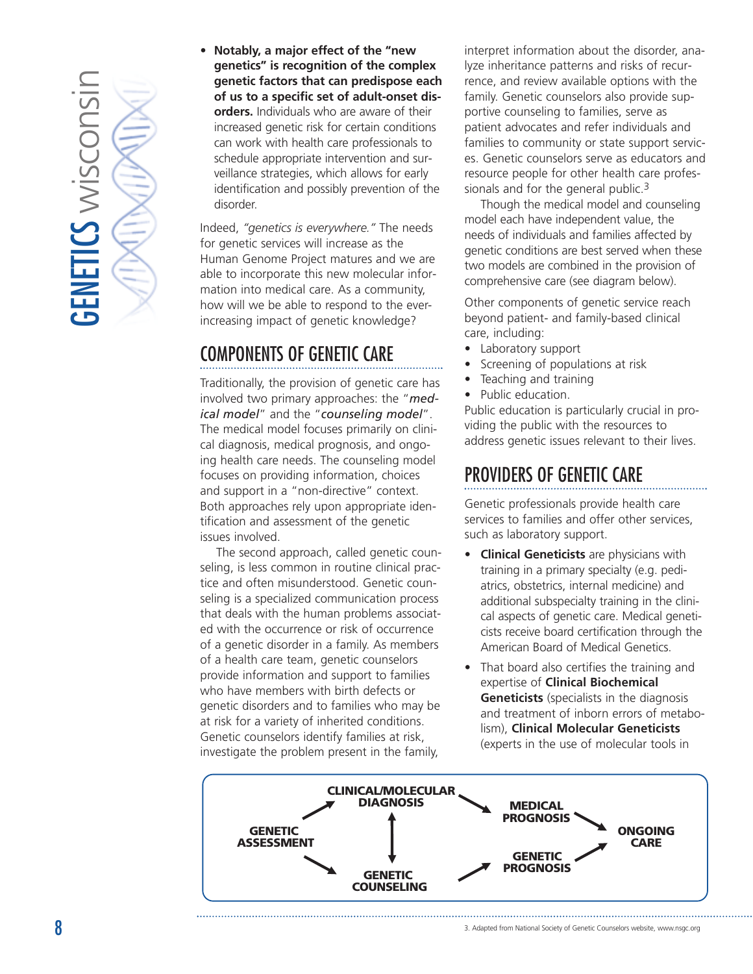

• **Notably, a major effect of the "new genetics" is recognition of the complex genetic factors that can predispose each of us to a specific set of adult-onset disorders.** Individuals who are aware of their increased genetic risk for certain conditions can work with health care professionals to schedule appropriate intervention and surveillance strategies, which allows for early identification and possibly prevention of the disorder.

Indeed, *"genetics is everywhere."* The needs for genetic services will increase as the Human Genome Project matures and we are able to incorporate this new molecular information into medical care. As a community, how will we be able to respond to the everincreasing impact of genetic knowledge?

# COMPONENTS OF GENETIC CARE

Traditionally, the provision of genetic care has involved two primary approaches: the "*medical model*" and the "*counseling model*". The medical model focuses primarily on clinical diagnosis, medical prognosis, and ongoing health care needs. The counseling model focuses on providing information, choices and support in a "non-directive" context. Both approaches rely upon appropriate identification and assessment of the genetic issues involved.

The second approach, called genetic counseling, is less common in routine clinical practice and often misunderstood. Genetic counseling is a specialized communication process that deals with the human problems associated with the occurrence or risk of occurrence of a genetic disorder in a family. As members of a health care team, genetic counselors provide information and support to families who have members with birth defects or genetic disorders and to families who may be at risk for a variety of inherited conditions. Genetic counselors identify families at risk, investigate the problem present in the family,

interpret information about the disorder, analyze inheritance patterns and risks of recurrence, and review available options with the family. Genetic counselors also provide supportive counseling to families, serve as patient advocates and refer individuals and families to community or state support services. Genetic counselors serve as educators and resource people for other health care professionals and for the general public.<sup>3</sup>

Though the medical model and counseling model each have independent value, the needs of individuals and families affected by genetic conditions are best served when these two models are combined in the provision of comprehensive care (see diagram below).

Other components of genetic service reach beyond patient- and family-based clinical care, including:

- Laboratory support
- Screening of populations at risk
- Teaching and training
- Public education.

Public education is particularly crucial in providing the public with the resources to address genetic issues relevant to their lives.

# PROVIDERS OF GENETIC CARE

Genetic professionals provide health care services to families and offer other services, such as laboratory support.

- **Clinical Geneticists** are physicians with training in a primary specialty (e.g. pediatrics, obstetrics, internal medicine) and additional subspecialty training in the clinical aspects of genetic care. Medical geneticists receive board certification through the American Board of Medical Genetics.
- That board also certifies the training and expertise of **Clinical Biochemical Geneticists** (specialists in the diagnosis and treatment of inborn errors of metabolism), **Clinical Molecular Geneticists** (experts in the use of molecular tools in

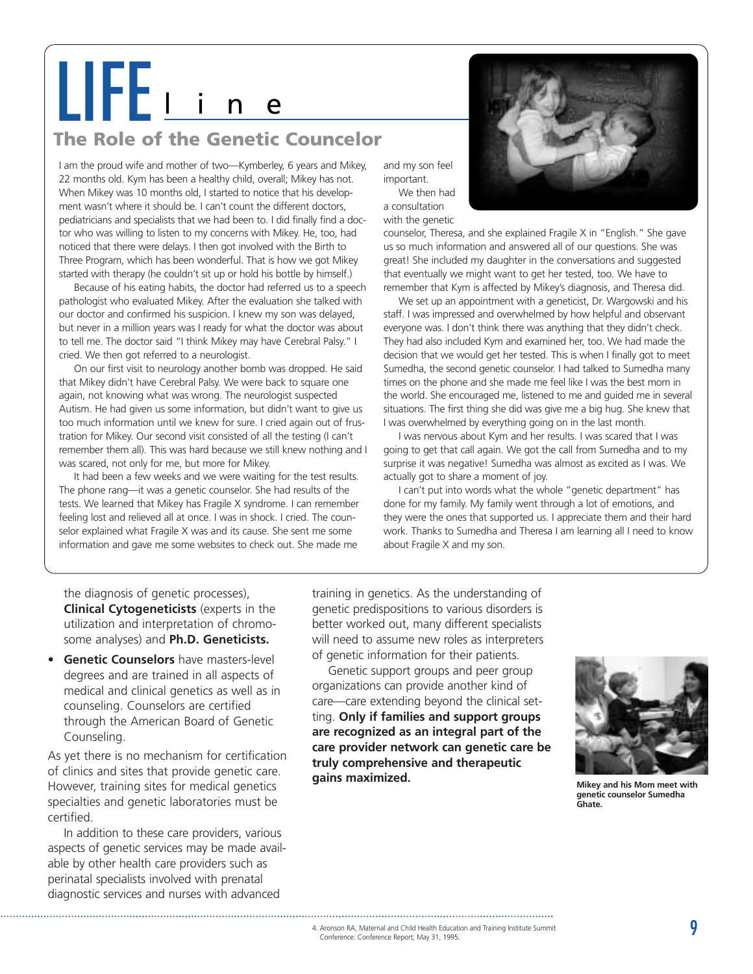# LIFE<sub>L</sub>

# **The Role of the Genetic Councelor**

I am the proud wife and mother of two—Kymberley, 6 years and Mikey, 22 months old. Kym has been a healthy child, overall; Mikey has not. When Mikey was 10 months old, I started to notice that his development wasn't where it should be. I can't count the different doctors, pediatricians and specialists that we had been to. I did finally find a doctor who was willing to listen to my concerns with Mikey. He, too, had noticed that there were delays. I then got involved with the Birth to Three Program, which has been wonderful. That is how we got Mikey started with therapy (he couldn't sit up or hold his bottle by himself.)

Because of his eating habits, the doctor had referred us to a speech pathologist who evaluated Mikey. After the evaluation she talked with our doctor and confirmed his suspicion. I knew my son was delayed, but never in a million years was I ready for what the doctor was about to tell me. The doctor said "I think Mikey may have Cerebral Palsy." I cried. We then got referred to a neurologist.

On our first visit to neurology another bomb was dropped. He said that Mikey didn't have Cerebral Palsy. We were back to square one again, not knowing what was wrong. The neurologist suspected Autism. He had given us some information, but didn't want to give us too much information until we knew for sure. I cried again out of frustration for Mikey. Our second visit consisted of all the testing (I can't remember them all). This was hard because we still knew nothing and I was scared, not only for me, but more for Mikey.

It had been a few weeks and we were waiting for the test results. The phone rang—it was a genetic counselor. She had results of the tests. We learned that Mikey has Fragile X syndrome. I can remember feeling lost and relieved all at once. I was in shock. I cried. The counselor explained what Fragile X was and its cause. She sent me some information and gave me some websites to check out. She made me

and my son feel important. We then had

a consultation with the genetic

counselor, Theresa, and she explained Fragile X in "English." She gave us so much information and answered all of our questions. She was great! She included my daughter in the conversations and suggested that eventually we might want to get her tested, too. We have to remember that Kym is affected by Mikey's diagnosis, and Theresa did.

We set up an appointment with a geneticist, Dr. Wargowski and his staff. I was impressed and overwhelmed by how helpful and observant everyone was. I don't think there was anything that they didn't check. They had also included Kym and examined her, too. We had made the decision that we would get her tested. This is when I finally got to meet Sumedha, the second genetic counselor. I had talked to Sumedha many times on the phone and she made me feel like I was the best mom in the world. She encouraged me, listened to me and guided me in several situations. The first thing she did was give me a big hug. She knew that I was overwhelmed by everything going on in the last month.

I was nervous about Kym and her results. I was scared that I was going to get that call again. We got the call from Sumedha and to my surprise it was negative! Sumedha was almost as excited as I was. We actually got to share a moment of joy.

I can't put into words what the whole "genetic department" has done for my family. My family went through a lot of emotions, and they were the ones that supported us. I appreciate them and their hard work. Thanks to Sumedha and Theresa I am learning all I need to know about Fragile X and my son.

the diagnosis of genetic processes), **Clinical Cytogeneticists** (experts in the utilization and interpretation of chromosome analyses) and **Ph.D. Geneticists.**

• **Genetic Counselors** have masters-level degrees and are trained in all aspects of medical and clinical genetics as well as in counseling. Counselors are certified through the American Board of Genetic Counseling.

As yet there is no mechanism for certification of clinics and sites that provide genetic care. However, training sites for medical genetics specialties and genetic laboratories must be certified.

In addition to these care providers, various aspects of genetic services may be made available by other health care providers such as perinatal specialists involved with prenatal diagnostic services and nurses with advanced

training in genetics. As the understanding of genetic predispositions to various disorders is better worked out, many different specialists will need to assume new roles as interpreters of genetic information for their patients.

Genetic support groups and peer group organizations can provide another kind of care—care extending beyond the clinical setting. **Only if families and support groups are recognized as an integral part of the care provider network can genetic care be truly comprehensive and therapeutic gains maximized.**



**Mikey and his Mom meet with genetic counselor Sumedha Ghate.**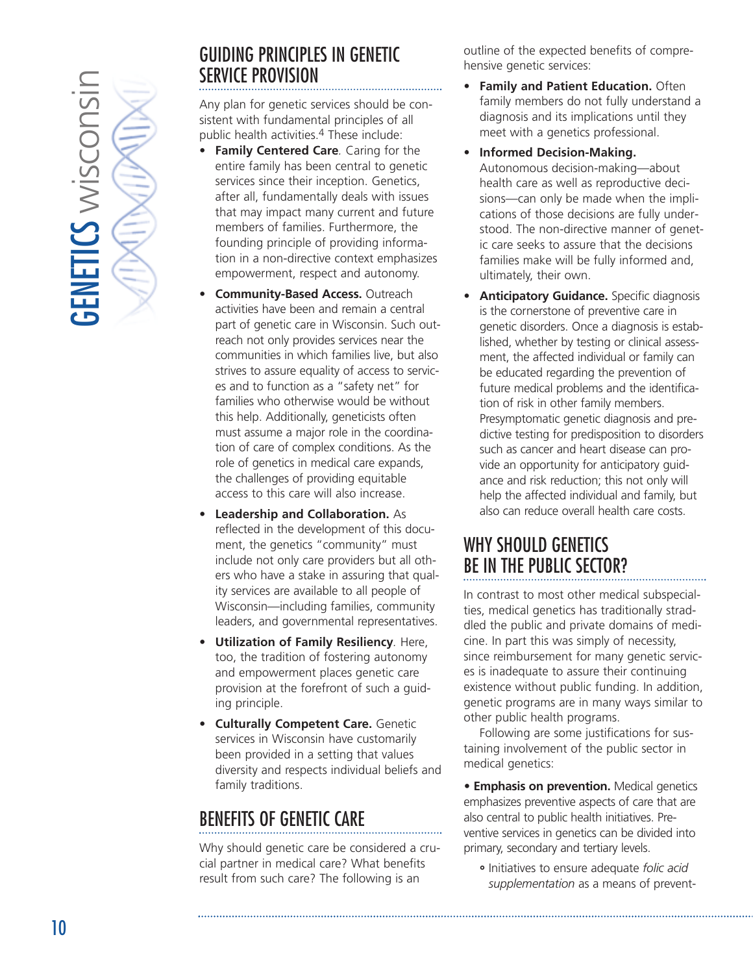

# GUIDING PRINCIPLES IN GENETIC SERVICE PROVISION

Any plan for genetic services should be consistent with fundamental principles of all public health activities.4 These include:

- **Family Centered Care***.* Caring for the entire family has been central to genetic services since their inception. Genetics, after all, fundamentally deals with issues that may impact many current and future members of families. Furthermore, the founding principle of providing information in a non-directive context emphasizes empowerment, respect and autonomy.
- **Community-Based Access.** Outreach activities have been and remain a central part of genetic care in Wisconsin. Such outreach not only provides services near the communities in which families live, but also strives to assure equality of access to services and to function as a "safety net" for families who otherwise would be without this help. Additionally, geneticists often must assume a major role in the coordination of care of complex conditions. As the role of genetics in medical care expands, the challenges of providing equitable access to this care will also increase.
- **Leadership and Collaboration.** As reflected in the development of this document, the genetics "community" must include not only care providers but all others who have a stake in assuring that quality services are available to all people of Wisconsin—including families, community leaders, and governmental representatives.
- **Utilization of Family Resiliency***.* Here, too, the tradition of fostering autonomy and empowerment places genetic care provision at the forefront of such a guiding principle.
- **Culturally Competent Care.** Genetic services in Wisconsin have customarily been provided in a setting that values diversity and respects individual beliefs and family traditions.

# BENEFITS OF GENETIC CARE

Why should genetic care be considered a crucial partner in medical care? What benefits result from such care? The following is an

outline of the expected benefits of comprehensive genetic services:

- **Family and Patient Education.** Often family members do not fully understand a diagnosis and its implications until they meet with a genetics professional.
- **Informed Decision-Making.** Autonomous decision-making—about health care as well as reproductive decisions—can only be made when the implications of those decisions are fully understood. The non-directive manner of genetic care seeks to assure that the decisions families make will be fully informed and, ultimately, their own.
- **Anticipatory Guidance.** Specific diagnosis is the cornerstone of preventive care in genetic disorders. Once a diagnosis is established, whether by testing or clinical assessment, the affected individual or family can be educated regarding the prevention of future medical problems and the identification of risk in other family members. Presymptomatic genetic diagnosis and predictive testing for predisposition to disorders such as cancer and heart disease can provide an opportunity for anticipatory guidance and risk reduction; this not only will help the affected individual and family, but also can reduce overall health care costs.

# WHY SHOULD GENETICS BE IN THE PUBLIC SECTOR?

In contrast to most other medical subspecialties, medical genetics has traditionally straddled the public and private domains of medicine. In part this was simply of necessity, since reimbursement for many genetic services is inadequate to assure their continuing existence without public funding. In addition, genetic programs are in many ways similar to other public health programs.

Following are some justifications for sustaining involvement of the public sector in medical genetics:

*•* **Emphasis on prevention.** Medical genetics emphasizes preventive aspects of care that are also central to public health initiatives. Preventive services in genetics can be divided into primary, secondary and tertiary levels.

**˚** Initiatives to ensure adequate *folic acid supplementation* as a means of prevent-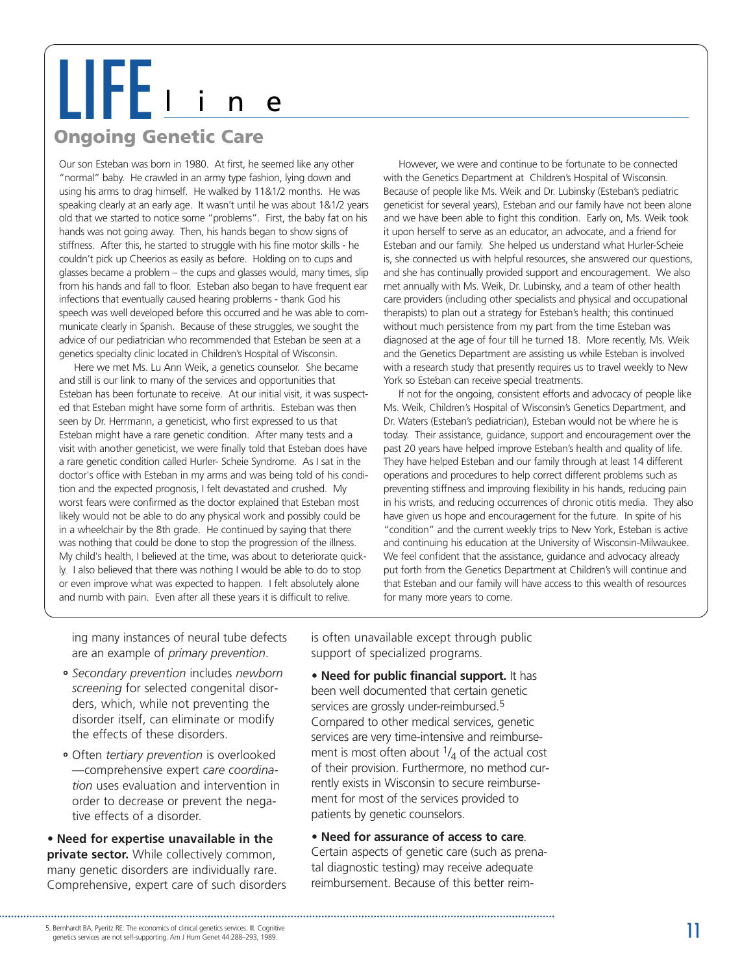# LIFE<sup>l</sup> <sup>i</sup> <sup>n</sup> <sup>e</sup>

# **Ongoing Genetic Care**

Our son Esteban was born in 1980. At first, he seemed like any other "normal" baby. He crawled in an army type fashion, lying down and using his arms to drag himself. He walked by 11&1/2 months. He was speaking clearly at an early age. It wasn't until he was about 1&1/2 years old that we started to notice some "problems". First, the baby fat on his hands was not going away. Then, his hands began to show signs of stiffness. After this, he started to struggle with his fine motor skills - he couldn't pick up Cheerios as easily as before. Holding on to cups and glasses became a problem – the cups and glasses would, many times, slip from his hands and fall to floor. Esteban also began to have frequent ear infections that eventually caused hearing problems - thank God his speech was well developed before this occurred and he was able to communicate clearly in Spanish. Because of these struggles, we sought the advice of our pediatrician who recommended that Esteban be seen at a genetics specialty clinic located in Children's Hospital of Wisconsin.

Here we met Ms. Lu Ann Weik, a genetics counselor. She became and still is our link to many of the services and opportunities that Esteban has been fortunate to receive. At our initial visit, it was suspected that Esteban might have some form of arthritis. Esteban was then seen by Dr. Herrmann, a geneticist, who first expressed to us that Esteban might have a rare genetic condition. After many tests and a visit with another geneticist, we were finally told that Esteban does have a rare genetic condition called Hurler- Scheie Syndrome. As I sat in the doctor's office with Esteban in my arms and was being told of his condition and the expected prognosis, I felt devastated and crushed. My worst fears were confirmed as the doctor explained that Esteban most likely would not be able to do any physical work and possibly could be in a wheelchair by the 8th grade. He continued by saying that there was nothing that could be done to stop the progression of the illness. My child's health, I believed at the time, was about to deteriorate quickly. I also believed that there was nothing I would be able to do to stop or even improve what was expected to happen. I felt absolutely alone and numb with pain. Even after all these years it is difficult to relive.

However, we were and continue to be fortunate to be connected with the Genetics Department at Children's Hospital of Wisconsin. Because of people like Ms. Weik and Dr. Lubinsky (Esteban's pediatric geneticist for several years), Esteban and our family have not been alone and we have been able to fight this condition. Early on, Ms. Weik took it upon herself to serve as an educator, an advocate, and a friend for Esteban and our family. She helped us understand what Hurler-Scheie is, she connected us with helpful resources, she answered our questions, and she has continually provided support and encouragement. We also met annually with Ms. Weik, Dr. Lubinsky, and a team of other health care providers (including other specialists and physical and occupational therapists) to plan out a strategy for Esteban's health; this continued without much persistence from my part from the time Esteban was diagnosed at the age of four till he turned 18. More recently, Ms. Weik and the Genetics Department are assisting us while Esteban is involved with a research study that presently requires us to travel weekly to New York so Esteban can receive special treatments.

If not for the ongoing, consistent efforts and advocacy of people like Ms. Weik, Children's Hospital of Wisconsin's Genetics Department, and Dr. Waters (Esteban's pediatrician), Esteban would not be where he is today. Their assistance, guidance, support and encouragement over the past 20 years have helped improve Esteban's health and quality of life. They have helped Esteban and our family through at least 14 different operations and procedures to help correct different problems such as preventing stiffness and improving flexibility in his hands, reducing pain in his wrists, and reducing occurrences of chronic otitis media. They also have given us hope and encouragement for the future. In spite of his "condition" and the current weekly trips to New York, Esteban is active and continuing his education at the University of Wisconsin-Milwaukee. We feel confident that the assistance, guidance and advocacy already put forth from the Genetics Department at Children's will continue and that Esteban and our family will have access to this wealth of resources for many more years to come.

ing many instances of neural tube defects are an example of *primary prevention*.

- **˚** *Secondary prevention* includes *newborn screening* for selected congenital disorders, which, while not preventing the disorder itself, can eliminate or modify the effects of these disorders.
- **˚** Often *tertiary prevention* is overlooked —comprehensive expert *care coordination* uses evaluation and intervention in order to decrease or prevent the negative effects of a disorder.

*•* **Need for expertise unavailable in the private sector.** While collectively common, many genetic disorders are individually rare. Comprehensive, expert care of such disorders is often unavailable except through public support of specialized programs.

*•* **Need for public financial support.** It has been well documented that certain genetic services are grossly under-reimbursed.<sup>5</sup> Compared to other medical services, genetic services are very time-intensive and reimbursement is most often about  $\frac{1}{4}$  of the actual cost of their provision. Furthermore, no method currently exists in Wisconsin to secure reimbursement for most of the services provided to patients by genetic counselors.

*•* **Need for assurance of access to care***.*

Certain aspects of genetic care (such as prenatal diagnostic testing) may receive adequate reimbursement. Because of this better reim-

genetics services are not self-supporting. Am J Hum Genet 44:288–293, 1989.

<sup>5.</sup> Bernhardt BA, Pyeritz RE: The economics of clinical genetics services. III. Cognitive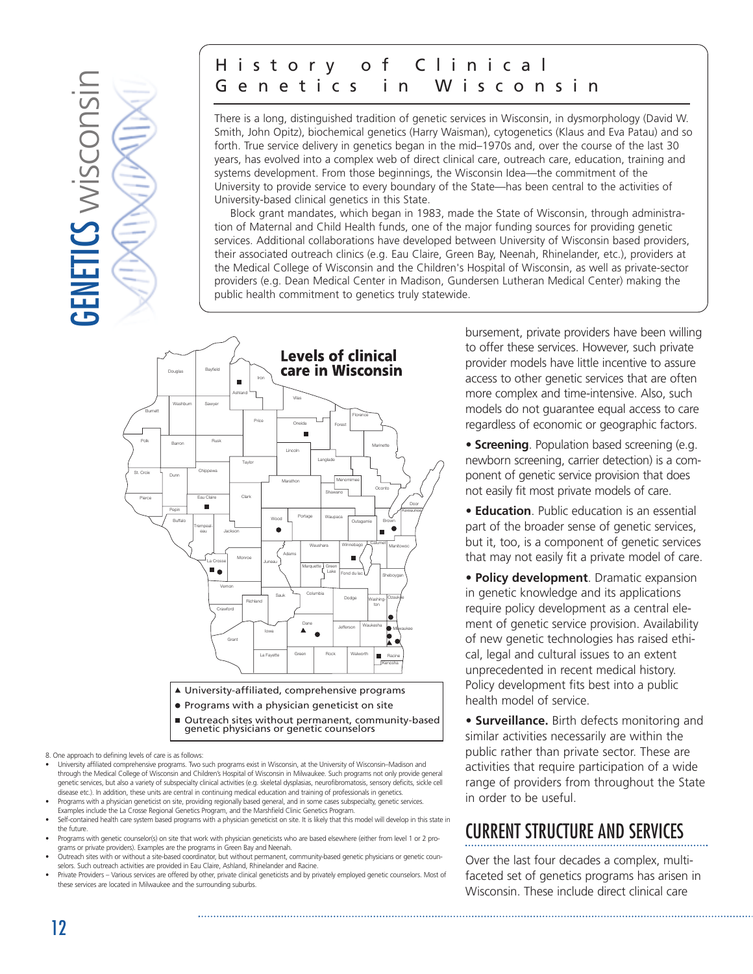

# History of Clinical Genetics in Wisconsin

There is a long, distinguished tradition of genetic services in Wisconsin, in dysmorphology (David W. Smith, John Opitz), biochemical genetics (Harry Waisman), cytogenetics (Klaus and Eva Patau) and so forth. True service delivery in genetics began in the mid–1970s and, over the course of the last 30 years, has evolved into a complex web of direct clinical care, outreach care, education, training and systems development. From those beginnings, the Wisconsin Idea—the commitment of the University to provide service to every boundary of the State—has been central to the activities of University-based clinical genetics in this State.

Block grant mandates, which began in 1983, made the State of Wisconsin, through administration of Maternal and Child Health funds, one of the major funding sources for providing genetic services. Additional collaborations have developed between University of Wisconsin based providers, their associated outreach clinics (e.g. Eau Claire, Green Bay, Neenah, Rhinelander, etc.), providers at the Medical College of Wisconsin and the Children's Hospital of Wisconsin, as well as private-sector providers (e.g. Dean Medical Center in Madison, Gundersen Lutheran Medical Center) making the public health commitment to genetics truly statewide.



Outreach sites without permanent, community-based genetic physicians or genetic counselors

8. One approach to defining levels of care is as follows:

- University affiliated comprehensive programs. Two such programs exist in Wisconsin, at the University of Wisconsin–Madison and through the Medical College of Wisconsin and Children's Hospital of Wisconsin in Milwaukee. Such programs not only provide general genetic services, but also a variety of subspecialty clinical activities (e.g. skeletal dysplasias, neurofibromatosis, sensory deficits, sickle cell disease etc.). In addition, these units are central in continuing medical education and training of professionals in genetics.
- Programs with a physician geneticist on site, providing regionally based general, and in some cases subspecialty, genetic services. Examples include the La Crosse Regional Genetics Program, and the Marshfield Clinic Genetics Program.
- Self-contained health care system based programs with a physician geneticist on site. It is likely that this model will develop in this state in the future.
- Programs with genetic counselor(s) on site that work with physician geneticists who are based elsewhere (either from level 1 or 2 programs or private providers). Examples are the programs in Green Bay and Neenah.
- Outreach sites with or without a site-based coordinator, but without permanent, community-based genetic physicians or genetic counselors. Such outreach activities are provided in Eau Claire, Ashland, Rhinelander and Racine.
- Private Providers Various services are offered by other, private clinical geneticists and by privately employed genetic counselors. Most of these services are located in Milwaukee and the surrounding suburbs.

bursement, private providers have been willing to offer these services. However, such private provider models have little incentive to assure access to other genetic services that are often more complex and time-intensive. Also, such models do not guarantee equal access to care regardless of economic or geographic factors.

*•* **Screening**. Population based screening (e.g. newborn screening, carrier detection) is a component of genetic service provision that does not easily fit most private models of care.

*•* **Education**. Public education is an essential part of the broader sense of genetic services, but it, too, is a component of genetic services that may not easily fit a private model of care.

*•* **Policy development**. Dramatic expansion in genetic knowledge and its applications require policy development as a central element of genetic service provision. Availability of new genetic technologies has raised ethical, legal and cultural issues to an extent unprecedented in recent medical history. Policy development fits best into a public health model of service.

*•* **Surveillance.** Birth defects monitoring and similar activities necessarily are within the public rather than private sector. These are activities that require participation of a wide range of providers from throughout the State in order to be useful.

# CURRENT STRUCTURE AND SERVICES

Over the last four decades a complex, multifaceted set of genetics programs has arisen in Wisconsin. These include direct clinical care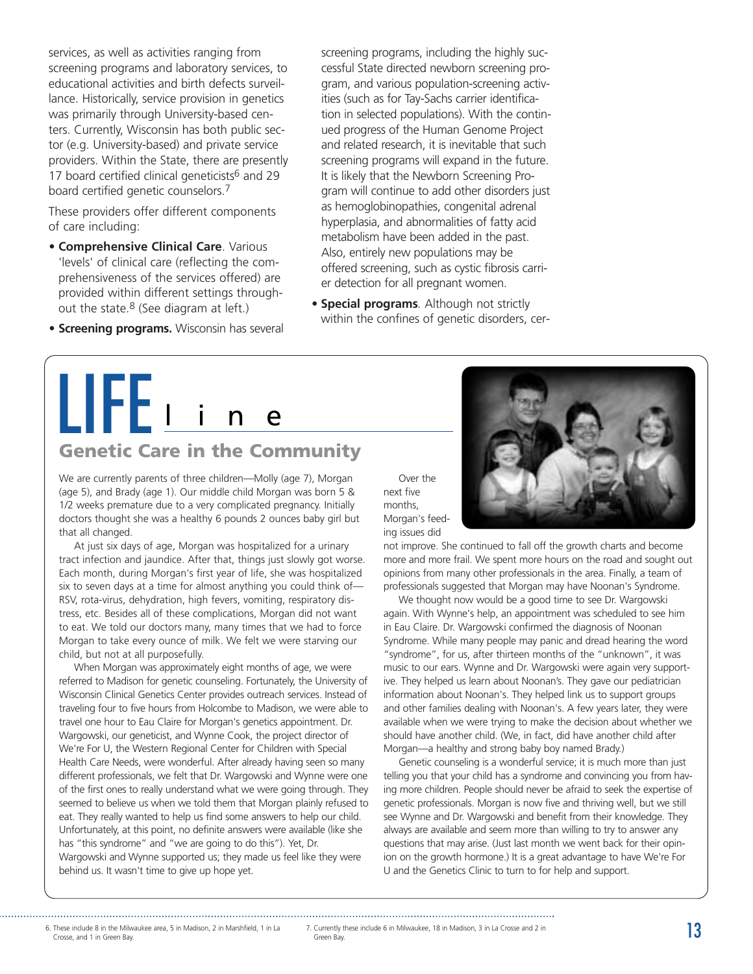services, as well as activities ranging from screening programs and laboratory services, to educational activities and birth defects surveillance. Historically, service provision in genetics was primarily through University-based centers. Currently, Wisconsin has both public sector (e.g. University-based) and private service providers. Within the State, there are presently 17 board certified clinical geneticists $6$  and 29 board certified genetic counselors.7

These providers offer different components of care including:

- **Comprehensive Clinical Care**. Various 'levels' of clinical care (reflecting the comprehensiveness of the services offered) are provided within different settings throughout the state.<sup>8</sup> (See diagram at left.)
- **Screening programs.** Wisconsin has several

screening programs, including the highly successful State directed newborn screening program, and various population-screening activities (such as for Tay-Sachs carrier identification in selected populations). With the continued progress of the Human Genome Project and related research, it is inevitable that such screening programs will expand in the future. It is likely that the Newborn Screening Program will continue to add other disorders just as hemoglobinopathies, congenital adrenal hyperplasia, and abnormalities of fatty acid metabolism have been added in the past. Also, entirely new populations may be offered screening, such as cystic fibrosis carrier detection for all pregnant women.

*•* **Special programs***.* Although not strictly within the confines of genetic disorders, cer-

# LIFE i

# **Genetic Care in the Community**

We are currently parents of three children—Molly (age 7), Morgan (age 5), and Brady (age 1). Our middle child Morgan was born 5 & 1/2 weeks premature due to a very complicated pregnancy. Initially doctors thought she was a healthy 6 pounds 2 ounces baby girl but that all changed.

At just six days of age, Morgan was hospitalized for a urinary tract infection and jaundice. After that, things just slowly got worse. Each month, during Morgan's first year of life, she was hospitalized six to seven days at a time for almost anything you could think of— RSV, rota-virus, dehydration, high fevers, vomiting, respiratory distress, etc. Besides all of these complications, Morgan did not want to eat. We told our doctors many, many times that we had to force Morgan to take every ounce of milk. We felt we were starving our child, but not at all purposefully.

When Morgan was approximately eight months of age, we were referred to Madison for genetic counseling. Fortunately, the University of Wisconsin Clinical Genetics Center provides outreach services. Instead of traveling four to five hours from Holcombe to Madison, we were able to travel one hour to Eau Claire for Morgan's genetics appointment. Dr. Wargowski, our geneticist, and Wynne Cook, the project director of We're For U, the Western Regional Center for Children with Special Health Care Needs, were wonderful. After already having seen so many different professionals, we felt that Dr. Wargowski and Wynne were one of the first ones to really understand what we were going through. They seemed to believe us when we told them that Morgan plainly refused to eat. They really wanted to help us find some answers to help our child. Unfortunately, at this point, no definite answers were available (like she has "this syndrome" and "we are going to do this"). Yet, Dr. Wargowski and Wynne supported us; they made us feel like they were behind us. It wasn't time to give up hope yet.

Over the next five months, Morgan's feeding issues did

not improve. She continued to fall off the growth charts and become more and more frail. We spent more hours on the road and sought out opinions from many other professionals in the area. Finally, a team of professionals suggested that Morgan may have Noonan's Syndrome.

We thought now would be a good time to see Dr. Wargowski again. With Wynne's help, an appointment was scheduled to see him in Eau Claire. Dr. Wargowski confirmed the diagnosis of Noonan Syndrome. While many people may panic and dread hearing the word "syndrome", for us, after thirteen months of the "unknown", it was music to our ears. Wynne and Dr. Wargowski were again very supportive. They helped us learn about Noonan's. They gave our pediatrician information about Noonan's. They helped link us to support groups and other families dealing with Noonan's. A few years later, they were available when we were trying to make the decision about whether we should have another child. (We, in fact, did have another child after Morgan—a healthy and strong baby boy named Brady.)

Genetic counseling is a wonderful service; it is much more than just telling you that your child has a syndrome and convincing you from having more children. People should never be afraid to seek the expertise of genetic professionals. Morgan is now five and thriving well, but we still see Wynne and Dr. Wargowski and benefit from their knowledge. They always are available and seem more than willing to try to answer any questions that may arise. (Just last month we went back for their opinion on the growth hormone.) It is a great advantage to have We're For U and the Genetics Clinic to turn to for help and support.

Crosse, and 1 in Green Bay.

6. These include 8 in the Milwaukee area, 5 in Madison, 2 in Marshfield, 1 in La 7. Currently these include 6 in Milwaukee, 18 in Madison, 3 in La Crosse and 2 in Same and 2 in Same and 2 in Same and 2 in Same and 1 in Gre Green Bay.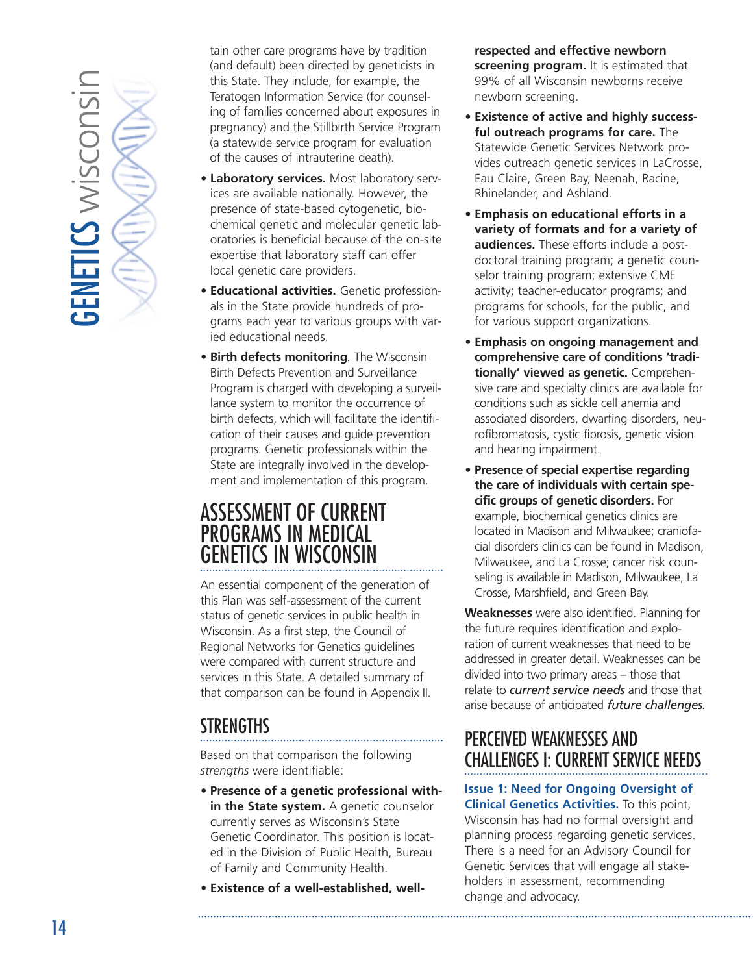<span id="page-13-0"></span>

tain other care programs have by tradition (and default) been directed by geneticists in this State. They include, for example, the Teratogen Information Service (for counseling of families concerned about exposures in pregnancy) and the Stillbirth Service Program (a statewide service program for evaluation of the causes of intrauterine death).

- **Laboratory services.** Most laboratory services are available nationally. However, the presence of state-based cytogenetic, biochemical genetic and molecular genetic laboratories is beneficial because of the on-site expertise that laboratory staff can offer local genetic care providers.
- **Educational activities.** Genetic professionals in the State provide hundreds of programs each year to various groups with varied educational needs.
- **Birth defects monitoring***.* The Wisconsin Birth Defects Prevention and Surveillance Program is charged with developing a surveillance system to monitor the occurrence of birth defects, which will facilitate the identification of their causes and guide prevention programs. Genetic professionals within the State are integrally involved in the development and implementation of this program.

# ASSESSMENT OF CURRENT PROGRAMS IN MEDICAL GENETICS IN WISCONSIN

An essential component of the generation of this Plan was self-assessment of the current status of genetic services in public health in Wisconsin. As a first step, the Council of Regional Networks for Genetics guidelines were compared with current structure and services in this State. A detailed summary of that comparison can be found in Appendix II.

# STRENGTHS

Based on that comparison the following *strengths* were identifiable:

- **Presence of a genetic professional within the State system.** A genetic counselor currently serves as Wisconsin's State Genetic Coordinator. This position is located in the Division of Public Health, Bureau of Family and Community Health.
- **Existence of a well-established, well-**

**respected and effective newborn screening program.** It is estimated that 99% of all Wisconsin newborns receive newborn screening.

- **Existence of active and highly successful outreach programs for care.** The Statewide Genetic Services Network provides outreach genetic services in LaCrosse, Eau Claire, Green Bay, Neenah, Racine, Rhinelander, and Ashland.
- **Emphasis on educational efforts in a variety of formats and for a variety of audiences.** These efforts include a postdoctoral training program; a genetic counselor training program; extensive CME activity; teacher-educator programs; and programs for schools, for the public, and for various support organizations.
- **Emphasis on ongoing management and comprehensive care of conditions 'traditionally' viewed as genetic.** Comprehensive care and specialty clinics are available for conditions such as sickle cell anemia and associated disorders, dwarfing disorders, neurofibromatosis, cystic fibrosis, genetic vision and hearing impairment.
- **Presence of special expertise regarding the care of individuals with certain specific groups of genetic disorders.** For example, biochemical genetics clinics are located in Madison and Milwaukee; craniofacial disorders clinics can be found in Madison, Milwaukee, and La Crosse; cancer risk counseling is available in Madison, Milwaukee, La Crosse, Marshfield, and Green Bay.

**Weaknesses** were also identified. Planning for the future requires identification and exploration of current weaknesses that need to be addressed in greater detail. Weaknesses can be divided into two primary areas – those that relate to *current service needs* and those that arise because of anticipated *future challenges.*

# PERCEIVED WEAKNESSES AND CHALLENGES I: CURRENT SERVICE NEEDS

**Issue 1: Need for Ongoing Oversight of**

**Clinical Genetics Activities.** To this point, Wisconsin has had no formal oversight and planning process regarding genetic services. There is a need for an Advisory Council for Genetic Services that will engage all stakeholders in assessment, recommending change and advocacy.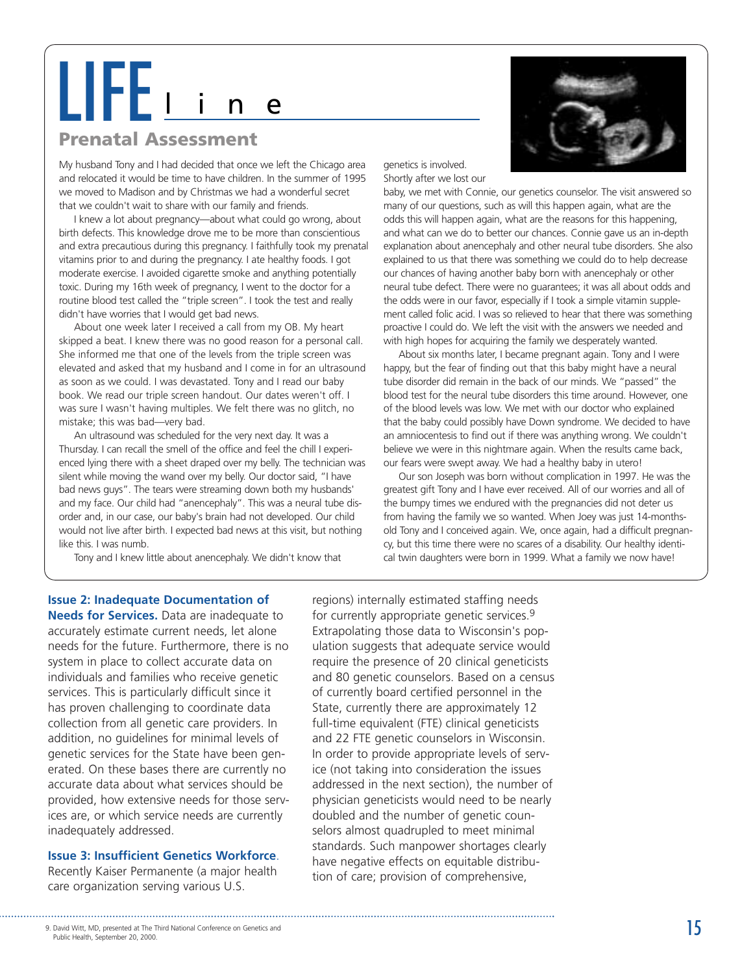# LIFE i

### **Prenatal Assessment**

My husband Tony and I had decided that once we left the Chicago area and relocated it would be time to have children. In the summer of 1995 we moved to Madison and by Christmas we had a wonderful secret that we couldn't wait to share with our family and friends.

I knew a lot about pregnancy—about what could go wrong, about birth defects. This knowledge drove me to be more than conscientious and extra precautious during this pregnancy. I faithfully took my prenatal vitamins prior to and during the pregnancy. I ate healthy foods. I got moderate exercise. I avoided cigarette smoke and anything potentially toxic. During my 16th week of pregnancy, I went to the doctor for a routine blood test called the "triple screen". I took the test and really didn't have worries that I would get bad news.

About one week later I received a call from my OB. My heart skipped a beat. I knew there was no good reason for a personal call. She informed me that one of the levels from the triple screen was elevated and asked that my husband and I come in for an ultrasound as soon as we could. I was devastated. Tony and I read our baby book. We read our triple screen handout. Our dates weren't off. I was sure I wasn't having multiples. We felt there was no glitch, no mistake; this was bad—very bad.

An ultrasound was scheduled for the very next day. It was a Thursday. I can recall the smell of the office and feel the chill I experienced lying there with a sheet draped over my belly. The technician was silent while moving the wand over my belly. Our doctor said, "I have bad news guys". The tears were streaming down both my husbands' and my face. Our child had "anencephaly". This was a neural tube disorder and, in our case, our baby's brain had not developed. Our child would not live after birth. I expected bad news at this visit, but nothing like this. I was numb.

Tony and I knew little about anencephaly. We didn't know that



genetics is involved. Shortly after we lost our

baby, we met with Connie, our genetics counselor. The visit answered so many of our questions, such as will this happen again, what are the odds this will happen again, what are the reasons for this happening, and what can we do to better our chances. Connie gave us an in-depth explanation about anencephaly and other neural tube disorders. She also explained to us that there was something we could do to help decrease our chances of having another baby born with anencephaly or other neural tube defect. There were no guarantees; it was all about odds and the odds were in our favor, especially if I took a simple vitamin supplement called folic acid. I was so relieved to hear that there was something proactive I could do. We left the visit with the answers we needed and with high hopes for acquiring the family we desperately wanted.

About six months later, I became pregnant again. Tony and I were happy, but the fear of finding out that this baby might have a neural tube disorder did remain in the back of our minds. We "passed" the blood test for the neural tube disorders this time around. However, one of the blood levels was low. We met with our doctor who explained that the baby could possibly have Down syndrome. We decided to have an amniocentesis to find out if there was anything wrong. We couldn't believe we were in this nightmare again. When the results came back, our fears were swept away. We had a healthy baby in utero!

Our son Joseph was born without complication in 1997. He was the greatest gift Tony and I have ever received. All of our worries and all of the bumpy times we endured with the pregnancies did not deter us from having the family we so wanted. When Joey was just 14-monthsold Tony and I conceived again. We, once again, had a difficult pregnancy, but this time there were no scares of a disability. Our healthy identical twin daughters were born in 1999. What a family we now have!

### **Issue 2: Inadequate Documentation of**

**Needs for Services.** Data are inadequate to accurately estimate current needs, let alone needs for the future. Furthermore, there is no system in place to collect accurate data on individuals and families who receive genetic services. This is particularly difficult since it has proven challenging to coordinate data collection from all genetic care providers. In addition, no guidelines for minimal levels of genetic services for the State have been generated. On these bases there are currently no accurate data about what services should be provided, how extensive needs for those services are, or which service needs are currently inadequately addressed.

### **Issue 3: Insufficient Genetics Workforce**.

Recently Kaiser Permanente (a major health care organization serving various U.S.

regions) internally estimated staffing needs for currently appropriate genetic services.9 Extrapolating those data to Wisconsin's population suggests that adequate service would require the presence of 20 clinical geneticists and 80 genetic counselors. Based on a census of currently board certified personnel in the State, currently there are approximately 12 full-time equivalent (FTE) clinical geneticists and 22 FTE genetic counselors in Wisconsin. In order to provide appropriate levels of service (not taking into consideration the issues addressed in the next section), the number of physician geneticists would need to be nearly doubled and the number of genetic counselors almost quadrupled to meet minimal standards. Such manpower shortages clearly have negative effects on equitable distribution of care; provision of comprehensive,

<sup>9.</sup> David Witt, MD, presented at The Third National Conference on Genetics and **15** Public Health, September 20, 2000.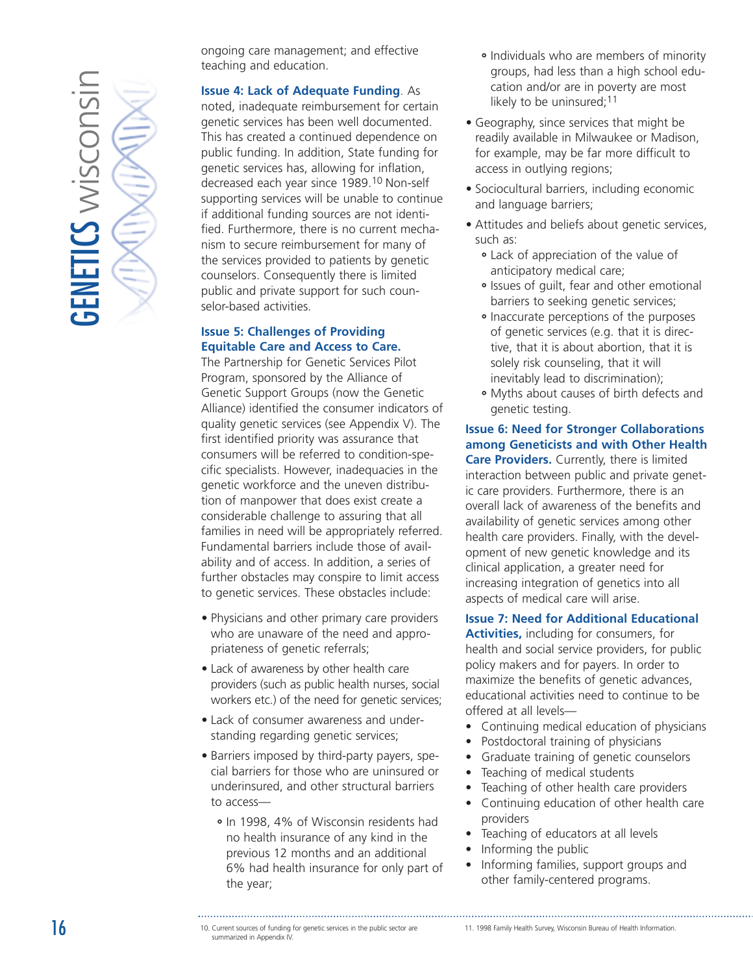

ongoing care management; and effective teaching and education.

### **Issue 4: Lack of Adequate Funding**. As

noted, inadequate reimbursement for certain genetic services has been well documented. This has created a continued dependence on public funding. In addition, State funding for genetic services has, allowing for inflation, decreased each year since 1989.10 Non-self supporting services will be unable to continue if additional funding sources are not identified. Furthermore, there is no current mechanism to secure reimbursement for many of the services provided to patients by genetic counselors. Consequently there is limited public and private support for such counselor-based activities.

### **Issue 5: Challenges of Providing Equitable Care and Access to Care.**

The Partnership for Genetic Services Pilot Program, sponsored by the Alliance of Genetic Support Groups (now the Genetic Alliance) identified the consumer indicators of quality genetic services (see Appendix V). The first identified priority was assurance that consumers will be referred to condition-specific specialists. However, inadequacies in the genetic workforce and the uneven distribution of manpower that does exist create a considerable challenge to assuring that all families in need will be appropriately referred. Fundamental barriers include those of availability and of access. In addition, a series of further obstacles may conspire to limit access to genetic services. These obstacles include:

- Physicians and other primary care providers who are unaware of the need and appropriateness of genetic referrals;
- Lack of awareness by other health care providers (such as public health nurses, social workers etc.) of the need for genetic services;
- Lack of consumer awareness and understanding regarding genetic services;
- Barriers imposed by third-party payers, special barriers for those who are uninsured or underinsured, and other structural barriers to access—
	- **˚** In 1998, 4% of Wisconsin residents had no health insurance of any kind in the previous 12 months and an additional 6% had health insurance for only part of the year;
- **˚** Individuals who are members of minority groups, had less than a high school education and/or are in poverty are most likely to be uninsured;<sup>11</sup>
- Geography, since services that might be readily available in Milwaukee or Madison, for example, may be far more difficult to access in outlying regions;
- Sociocultural barriers, including economic and language barriers;
- Attitudes and beliefs about genetic services, such as:
	- **˚** Lack of appreciation of the value of anticipatory medical care;
	- **˚** Issues of guilt, fear and other emotional barriers to seeking genetic services;
	- **˚** Inaccurate perceptions of the purposes of genetic services (e.g. that it is directive, that it is about abortion, that it is solely risk counseling, that it will inevitably lead to discrimination);
	- **˚** Myths about causes of birth defects and genetic testing.

### **Issue 6: Need for Stronger Collaborations among Geneticists and with Other Health Care Providers.** Currently, there is limited

interaction between public and private genetic care providers. Furthermore, there is an overall lack of awareness of the benefits and availability of genetic services among other health care providers. Finally, with the development of new genetic knowledge and its clinical application, a greater need for increasing integration of genetics into all aspects of medical care will arise.

### **Issue 7: Need for Additional Educational**

**Activities,** including for consumers, for health and social service providers, for public policy makers and for payers. In order to maximize the benefits of genetic advances, educational activities need to continue to be offered at all levels—

- Continuing medical education of physicians
- Postdoctoral training of physicians
- Graduate training of genetic counselors
- Teaching of medical students
- Teaching of other health care providers
- Continuing education of other health care providers
- Teaching of educators at all levels
- Informing the public
- Informing families, support groups and other family-centered programs.

<sup>10.</sup> Current sources of funding for genetic services in the public sector are summarized in Appendix IV.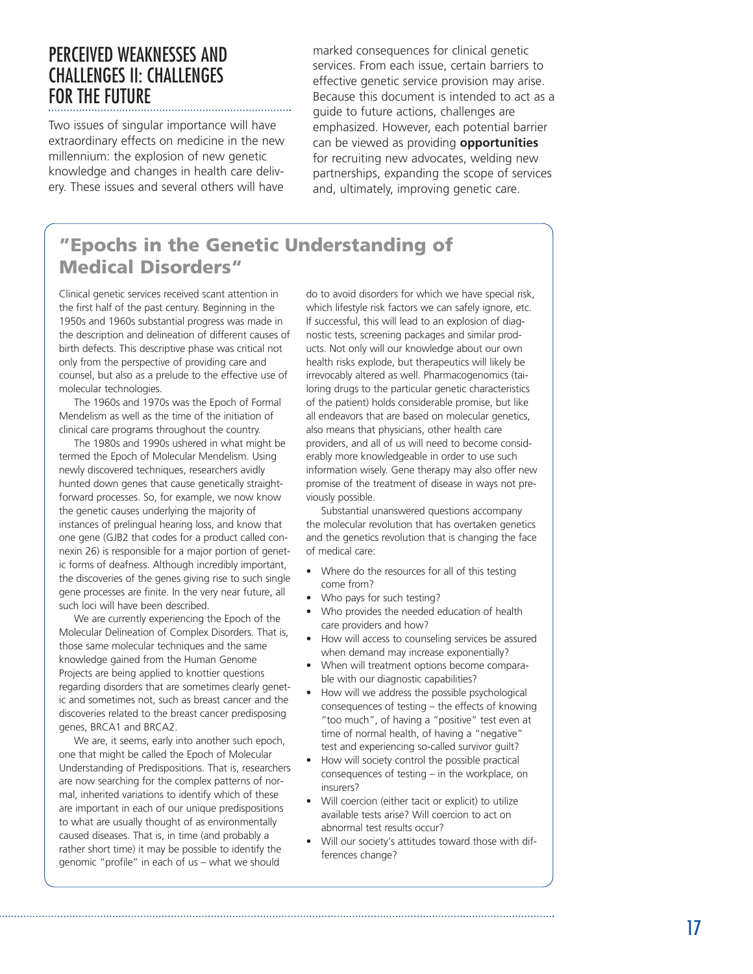### PERCEIVED WEAKNESSES AND CHALLENGES II: CHALLENGES FOR THE FUTURE

Two issues of singular importance will have extraordinary effects on medicine in the new millennium: the explosion of new genetic knowledge and changes in health care delivery. These issues and several others will have

marked consequences for clinical genetic services. From each issue, certain barriers to effective genetic service provision may arise. Because this document is intended to act as a guide to future actions, challenges are emphasized. However, each potential barrier can be viewed as providing **opportunities** for recruiting new advocates, welding new partnerships, expanding the scope of services and, ultimately, improving genetic care.

### **"Epochs in the Genetic Understanding of Medical Disorders"**

Clinical genetic services received scant attention in the first half of the past century. Beginning in the 1950s and 1960s substantial progress was made in the description and delineation of different causes of birth defects. This descriptive phase was critical not only from the perspective of providing care and counsel, but also as a prelude to the effective use of molecular technologies.

The 1960s and 1970s was the Epoch of Formal Mendelism as well as the time of the initiation of clinical care programs throughout the country.

The 1980s and 1990s ushered in what might be termed the Epoch of Molecular Mendelism. Using newly discovered techniques, researchers avidly hunted down genes that cause genetically straightforward processes. So, for example, we now know the genetic causes underlying the majority of instances of prelingual hearing loss, and know that one gene (GJB2 that codes for a product called connexin 26) is responsible for a major portion of genetic forms of deafness. Although incredibly important, the discoveries of the genes giving rise to such single gene processes are finite. In the very near future, all such loci will have been described.

We are currently experiencing the Epoch of the Molecular Delineation of Complex Disorders. That is, those same molecular techniques and the same knowledge gained from the Human Genome Projects are being applied to knottier questions regarding disorders that are sometimes clearly genetic and sometimes not, such as breast cancer and the discoveries related to the breast cancer predisposing genes, BRCA1 and BRCA2.

We are, it seems, early into another such epoch, one that might be called the Epoch of Molecular Understanding of Predispositions. That is, researchers are now searching for the complex patterns of normal, inherited variations to identify which of these are important in each of our unique predispositions to what are usually thought of as environmentally caused diseases. That is, in time (and probably a rather short time) it may be possible to identify the genomic "profile" in each of us – what we should

do to avoid disorders for which we have special risk, which lifestyle risk factors we can safely ignore, etc. If successful, this will lead to an explosion of diagnostic tests, screening packages and similar products. Not only will our knowledge about our own health risks explode, but therapeutics will likely be irrevocably altered as well. Pharmacogenomics (tailoring drugs to the particular genetic characteristics of the patient) holds considerable promise, but like all endeavors that are based on molecular genetics, also means that physicians, other health care providers, and all of us will need to become considerably more knowledgeable in order to use such information wisely. Gene therapy may also offer new promise of the treatment of disease in ways not previously possible.

Substantial unanswered questions accompany the molecular revolution that has overtaken genetics and the genetics revolution that is changing the face of medical care:

- Where do the resources for all of this testing come from?
- Who pays for such testing?
- Who provides the needed education of health care providers and how?
- How will access to counseling services be assured when demand may increase exponentially?
- When will treatment options become comparable with our diagnostic capabilities?
- How will we address the possible psychological consequences of testing – the effects of knowing "too much", of having a "positive" test even at time of normal health, of having a "negative" test and experiencing so-called survivor guilt?
- How will society control the possible practical consequences of testing – in the workplace, on insurers?
- Will coercion (either tacit or explicit) to utilize available tests arise? Will coercion to act on abnormal test results occur?
- Will our society's attitudes toward those with differences change?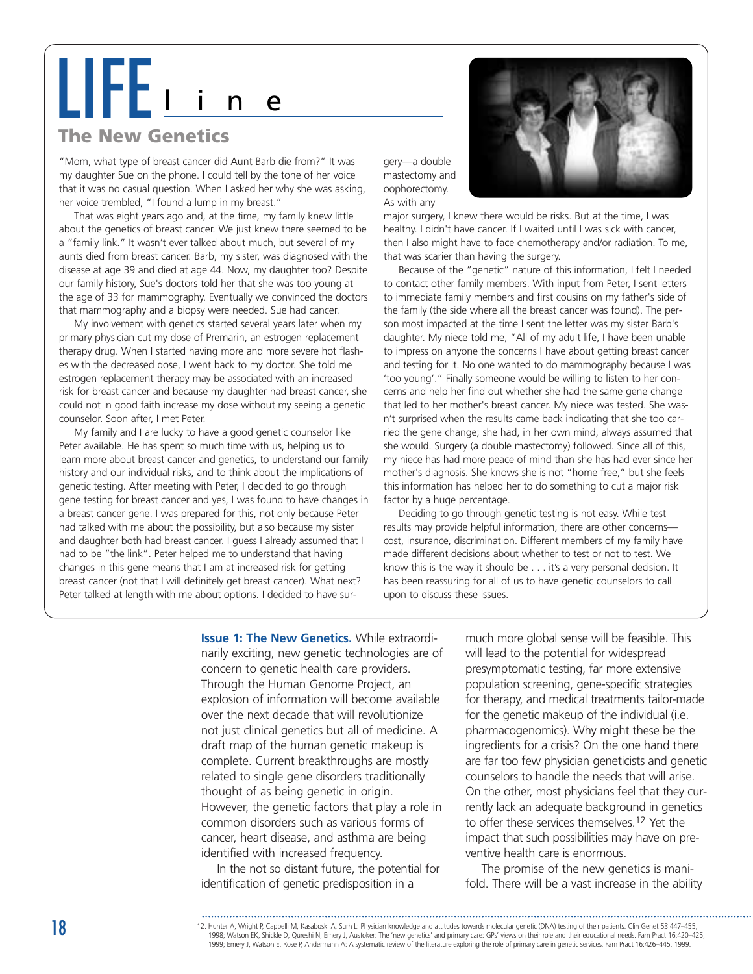# LIFE<sup>l</sup> <sup>i</sup> <sup>n</sup> <sup>e</sup>

### **The New Genetics**

"Mom, what type of breast cancer did Aunt Barb die from?" It was my daughter Sue on the phone. I could tell by the tone of her voice that it was no casual question. When I asked her why she was asking, her voice trembled, "I found a lump in my breast."

That was eight years ago and, at the time, my family knew little about the genetics of breast cancer. We just knew there seemed to be a "family link." It wasn't ever talked about much, but several of my aunts died from breast cancer. Barb, my sister, was diagnosed with the disease at age 39 and died at age 44. Now, my daughter too? Despite our family history, Sue's doctors told her that she was too young at the age of 33 for mammography. Eventually we convinced the doctors that mammography and a biopsy were needed. Sue had cancer.

My involvement with genetics started several years later when my primary physician cut my dose of Premarin, an estrogen replacement therapy drug. When I started having more and more severe hot flashes with the decreased dose, I went back to my doctor. She told me estrogen replacement therapy may be associated with an increased risk for breast cancer and because my daughter had breast cancer, she could not in good faith increase my dose without my seeing a genetic counselor. Soon after, I met Peter.

My family and I are lucky to have a good genetic counselor like Peter available. He has spent so much time with us, helping us to learn more about breast cancer and genetics, to understand our family history and our individual risks, and to think about the implications of genetic testing. After meeting with Peter, I decided to go through gene testing for breast cancer and yes, I was found to have changes in a breast cancer gene. I was prepared for this, not only because Peter had talked with me about the possibility, but also because my sister and daughter both had breast cancer. I guess I already assumed that I had to be "the link". Peter helped me to understand that having changes in this gene means that I am at increased risk for getting breast cancer (not that I will definitely get breast cancer). What next? Peter talked at length with me about options. I decided to have sur-

gery—a double mastectomy and oophorectomy. As with any

major surgery, I knew there would be risks. But at the time, I was healthy. I didn't have cancer. If I waited until I was sick with cancer, then I also might have to face chemotherapy and/or radiation. To me, that was scarier than having the surgery.

Because of the "genetic" nature of this information, I felt I needed to contact other family members. With input from Peter, I sent letters to immediate family members and first cousins on my father's side of the family (the side where all the breast cancer was found). The person most impacted at the time I sent the letter was my sister Barb's daughter. My niece told me, "All of my adult life, I have been unable to impress on anyone the concerns I have about getting breast cancer and testing for it. No one wanted to do mammography because I was 'too young'." Finally someone would be willing to listen to her concerns and help her find out whether she had the same gene change that led to her mother's breast cancer. My niece was tested. She wasn't surprised when the results came back indicating that she too carried the gene change; she had, in her own mind, always assumed that she would. Surgery (a double mastectomy) followed. Since all of this, my niece has had more peace of mind than she has had ever since her mother's diagnosis. She knows she is not "home free," but she feels this information has helped her to do something to cut a major risk factor by a huge percentage.

Deciding to go through genetic testing is not easy. While test results may provide helpful information, there are other concerns cost, insurance, discrimination. Different members of my family have made different decisions about whether to test or not to test. We know this is the way it should be . . . it's a very personal decision. It has been reassuring for all of us to have genetic counselors to call upon to discuss these issues.

**Issue 1: The New Genetics.** While extraordinarily exciting, new genetic technologies are of concern to genetic health care providers. Through the Human Genome Project, an explosion of information will become available over the next decade that will revolutionize not just clinical genetics but all of medicine. A draft map of the human genetic makeup is complete. Current breakthroughs are mostly related to single gene disorders traditionally thought of as being genetic in origin. However, the genetic factors that play a role in common disorders such as various forms of cancer, heart disease, and asthma are being identified with increased frequency.

In the not so distant future, the potential for identification of genetic predisposition in a

much more global sense will be feasible. This will lead to the potential for widespread presymptomatic testing, far more extensive population screening, gene-specific strategies for therapy, and medical treatments tailor-made for the genetic makeup of the individual (i.e. pharmacogenomics). Why might these be the ingredients for a crisis? On the one hand there are far too few physician geneticists and genetic counselors to handle the needs that will arise. On the other, most physicians feel that they currently lack an adequate background in genetics to offer these services themselves.12 Yet the impact that such possibilities may have on preventive health care is enormous.

The promise of the new genetics is manifold. There will be a vast increase in the ability

<sup>12.</sup> Hunter A, Wright P, Cappelli M, Kasaboski A, Surh L: Physician knowledge and attitudes towards molecular genetic (DNA) testing of their patients. Clin Genet 53:447–455, 1998; Watson EK, Shickle D, Qureshi N, Emery J, Austoker: The 'new genetics' and primary care: GPs' views on their role and their educational needs. Fam Pract 16:420–425, 1999; Emery J, Watson E, Rose P, Andermann A: A systematic review of the literature exploring the role of primary care in genetic services. Fam Pract 16:426–445, 1999.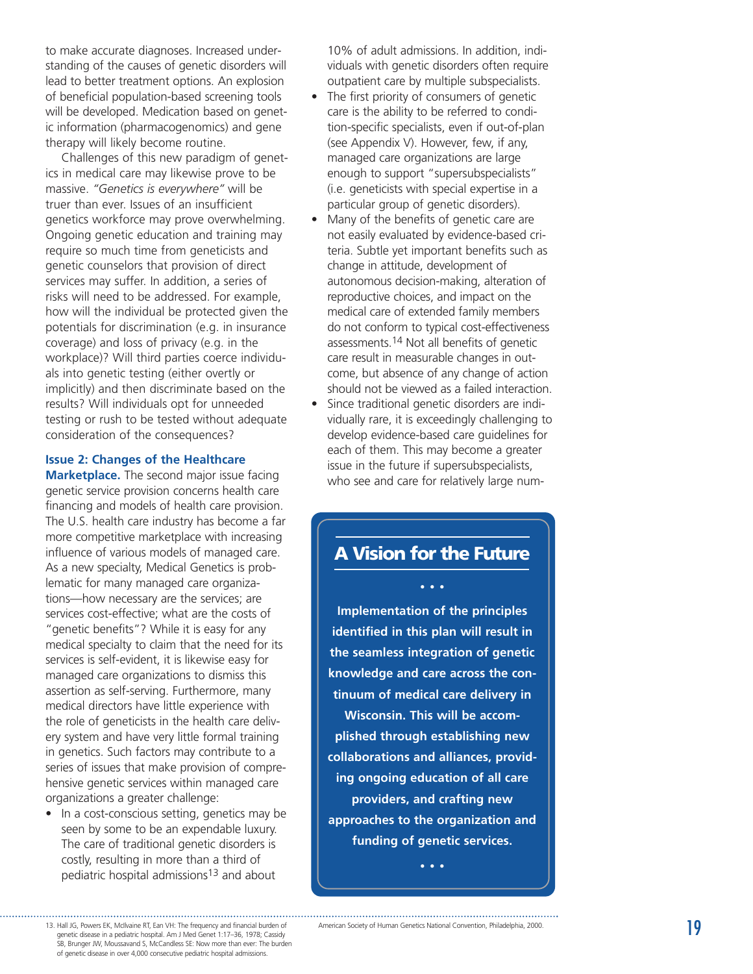<span id="page-18-0"></span>to make accurate diagnoses. Increased understanding of the causes of genetic disorders will lead to better treatment options. An explosion of beneficial population-based screening tools will be developed. Medication based on genetic information (pharmacogenomics) and gene therapy will likely become routine.

Challenges of this new paradigm of genetics in medical care may likewise prove to be massive. *"Genetics is everywhere"* will be truer than ever. Issues of an insufficient genetics workforce may prove overwhelming. Ongoing genetic education and training may require so much time from geneticists and genetic counselors that provision of direct services may suffer. In addition, a series of risks will need to be addressed. For example, how will the individual be protected given the potentials for discrimination (e.g. in insurance coverage) and loss of privacy (e.g. in the workplace)? Will third parties coerce individuals into genetic testing (either overtly or implicitly) and then discriminate based on the results? Will individuals opt for unneeded testing or rush to be tested without adequate consideration of the consequences?

### **Issue 2: Changes of the Healthcare**

**Marketplace.** The second major issue facing genetic service provision concerns health care financing and models of health care provision. The U.S. health care industry has become a far more competitive marketplace with increasing influence of various models of managed care. As a new specialty, Medical Genetics is problematic for many managed care organizations—how necessary are the services; are services cost-effective; what are the costs of "genetic benefits"? While it is easy for any medical specialty to claim that the need for its services is self-evident, it is likewise easy for managed care organizations to dismiss this assertion as self-serving. Furthermore, many medical directors have little experience with the role of geneticists in the health care delivery system and have very little formal training in genetics. Such factors may contribute to a series of issues that make provision of comprehensive genetic services within managed care organizations a greater challenge:

• In a cost-conscious setting, genetics may be seen by some to be an expendable luxury. The care of traditional genetic disorders is costly, resulting in more than a third of pediatric hospital admissions13 and about

10% of adult admissions. In addition, individuals with genetic disorders often require outpatient care by multiple subspecialists.

- The first priority of consumers of genetic care is the ability to be referred to condition-specific specialists, even if out-of-plan (see Appendix V). However, few, if any, managed care organizations are large enough to support "supersubspecialists " (i.e. geneticists with special expertise in a particular group of genetic disorders).
- Many of the benefits of genetic care are not easily evaluated by evidence-based criteria. Subtle yet important benefits such as change in attitude, development of autonomous decision-making, alteration of reproductive choices, and impact on the medical care of extended family members do not conform to typical cost-effectiveness assessments.14 Not all benefits of genetic care result in measurable changes in outcome, but absence of any change of action should not be viewed as a failed interaction.
- Since traditional genetic disorders are individually rare, it is exceedingly challenging to develop evidence-based care guidelines for each of them. This may become a greater issue in the future if supersubspecialists, who see and care for relatively large num-

# **A Vision for the Future**

**•••**

**Implementation of the principles identified in this plan will result in the seamless integration of genetic knowledge and care across the continuum of medical care delivery in Wisconsin. This will be accomplished through establishing new collaborations and alliances, providing ongoing education of all care providers, and crafting new approaches to the organization and funding of genetic services.** 

**•••**

genetic disease in a pediatric hospital. Am J Med Genet 1:17 –36, 1978; Cassidy SB, Brunger JW, Moussavand S, McCandless SE: Now more than ever: The burden of genetic disease in over 4,000 consecutive pediatric hospital admissions.

<sup>13.</sup> Hall JG, Powers EK, McIlvaine RT, Ean VH: The frequency and financial burden of American Society of Human Genetics National Convention, Philadelphia, 2000. American Society of Human Genetics National Convention, Philadelphia, 2000.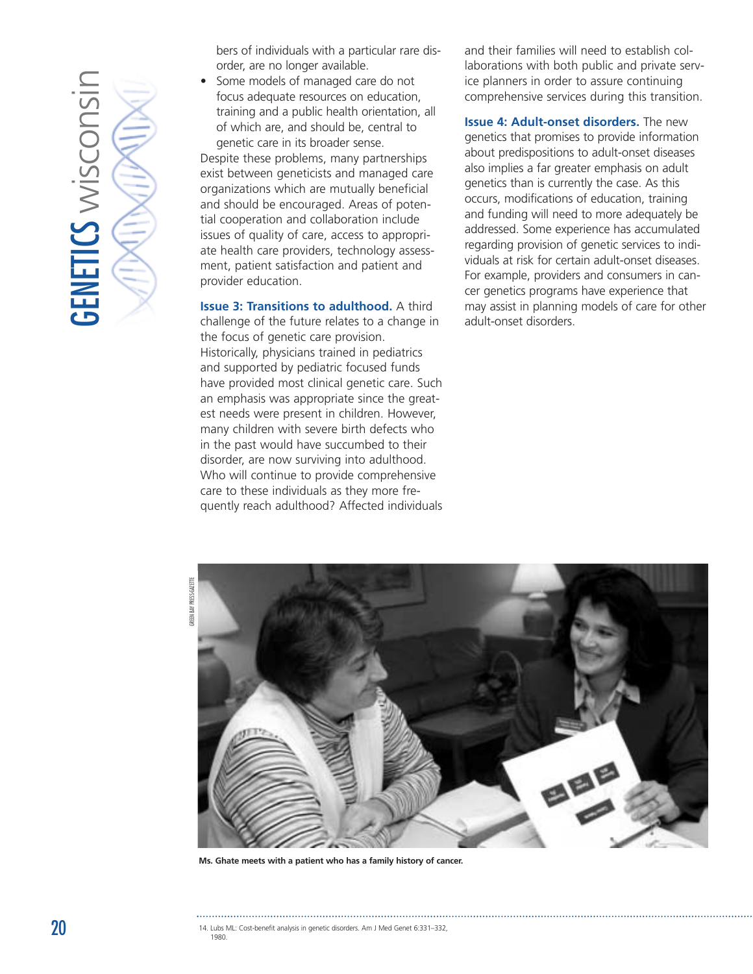

bers of individuals with a particular rare disorder, are no longer available.

Some models of managed care do not focus adequate resources on education, training and a public health orientation, all of which are, and should be, central to genetic care in its broader sense.

Despite these problems, many partnerships exist between geneticists and managed care organizations which are mutually beneficial and should be encouraged. Areas of potential cooperation and collaboration include issues of quality of care, access to appropriate health care providers, technology assessment, patient satisfaction and patient and provider education.

**Issue 3: Transitions to adulthood.** A third challenge of the future relates to a change in the focus of genetic care provision. Historically, physicians trained in pediatrics and supported by pediatric focused funds have provided most clinical genetic care. Such an emphasis was appropriate since the greatest needs were present in children. However, many children with severe birth defects who in the past would have succumbed to their disorder, are now surviving into adulthood. Who will continue to provide comprehensive care to these individuals as they more frequently reach adulthood? Affected individuals and their families will need to establish collaborations with both public and private service planners in order to assure continuing comprehensive services during this transition.

**Issue 4: Adult-onset disorders.** The new genetics that promises to provide information about predispositions to adult-onset diseases also implies a far greater emphasis on adult genetics than is currently the case. As this occurs, modifications of education, training and funding will need to more adequately be addressed. Some experience has accumulated regarding provision of genetic services to individuals at risk for certain adult-onset diseases. For example, providers and consumers in cancer genetics programs have experience that may assist in planning models of care for other adult-onset disorders.



**Ms. Ghate meets with a patient who has a family history of cancer.**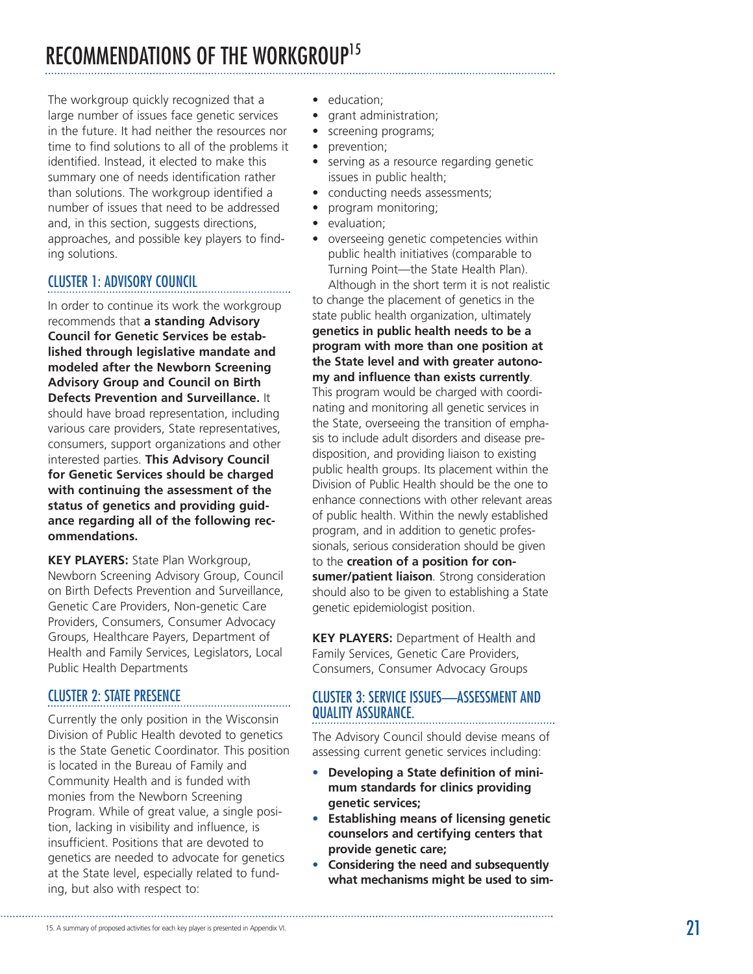# <span id="page-20-0"></span>RECOMMENDATIONS OF THE WORKGROUP<sup>15</sup>

The workgroup quickly recognized that a large number of issues face genetic services in the future. It had neither the resources nor time to find solutions to all of the problems it identified. Instead, it elected to make this summary one of needs identification rather than solutions. The workgroup identified a number of issues that need to be addressed and, in this section, suggests directions, approaches, and possible key players to finding solutions.

### CLUSTER 1: ADVISORY COUNCIL

In order to continue its work the workgroup recommends that **a standing Advisory Council for Genetic Services be established through legislative mandate and modeled after the Newborn Screening Advisory Group and Council on Birth Defects Prevention and Surveillance.** It should have broad representation, including various care providers, State representatives, consumers, support organizations and other interested parties. **This Advisory Council for Genetic Services should be charged with continuing the assessment of the status of genetics and providing guidance regarding all of the following recommendations.**

**KEY PLAYERS:** State Plan Workgroup, Newborn Screening Advisory Group, Council on Birth Defects Prevention and Surveillance, Genetic Care Providers, Non-genetic Care Providers, Consumers, Consumer Advocacy Groups, Healthcare Payers, Department of Health and Family Services, Legislators, Local Public Health Departments

### CLUSTER 2: STATE PRESENCE

Currently the only position in the Wisconsin Division of Public Health devoted to genetics is the State Genetic Coordinator. This position is located in the Bureau of Family and Community Health and is funded with monies from the Newborn Screening Program. While of great value, a single position, lacking in visibility and influence, is insufficient. Positions that are devoted to genetics are needed to advocate for genetics at the State level, especially related to funding, but also with respect to:

- education;
- grant administration;
- screening programs;
- prevention;
- serving as a resource regarding genetic issues in public health;
- conducting needs assessments;
- program monitoring;
- evaluation;
- overseeing genetic competencies within public health initiatives (comparable to Turning Point —the State Health Plan). Although in the short term it is not realistic

to change the placement of genetics in the state public health organization, ultimately **genetics in public health needs to be a program with more than one position at the State level and with greater autonomy and influence than exists currently***.* This program would be charged with coordinating and monitoring all genetic services in the State, overseeing the transition of emphasis to include adult disorders and disease predisposition, and providing liaison to existing public health groups. Its placement within the Division of Public Health should be the one to enhance connections with other relevant areas of public health. Within the newly established program, and in addition to genetic professionals, serious consideration should be given to the **creation of a position for consumer/patient liaison***.* Strong consideration should also to be given to establishing a State genetic epidemiologist position.

**KEY PLAYERS:** Department of Health and Family Services, Genetic Care Providers, Consumers, Consumer Advocacy Groups

### CLUSTER 3: SERVICE ISSUES—ASSESSMENT AND QUALITY ASSURANCE.

The Advisory Council should devise means of assessing current genetic services including:

- **• Developing a State definition of minimum standards for clinics providing genetic services;**
- **• Establishing means of licensing genetic counselors and certifying centers that provide genetic care;**
- **• Considering the need and subsequently what mechanisms might be used to sim-**

<sup>15.</sup> A summary of proposed activities for each key player is presented in Appendix VI.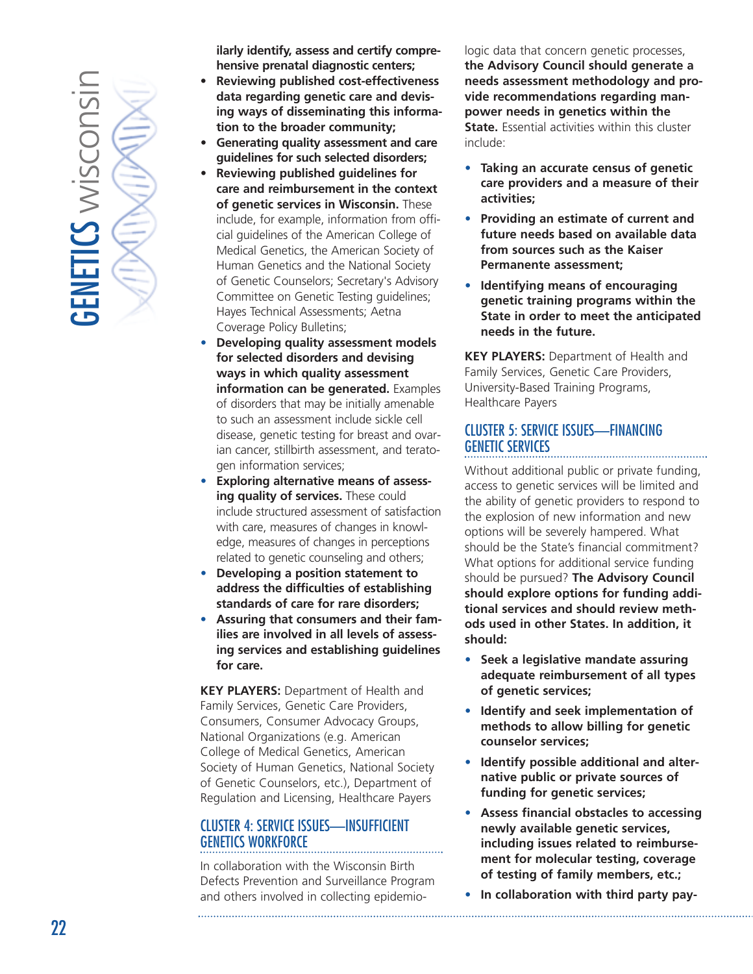

**ilarly identify, assess and certify comprehensive prenatal diagnostic centers;**

- **Reviewing published cost-effectiveness data regarding genetic care and devising ways of disseminating this information to the broader community;**
- *•* **Generating quality assessment and care guidelines for such selected disorders;**
- *•* **Reviewing published guidelines for care and reimbursement in the context of genetic services in Wisconsin.** These include, for example, information from official guidelines of the American College of Medical Genetics, the American Society of Human Genetics and the National Society of Genetic Counselors; Secretary's Advisory Committee on Genetic Testing guidelines; Hayes Technical Assessments; Aetna Coverage Policy Bulletins;
- *•* **Developing quality assessment models for selected disorders and devising ways in which quality assessment information can be generated.** Examples of disorders that may be initially amenable to such an assessment include sickle cell disease, genetic testing for breast and ovarian cancer, stillbirth assessment, and teratogen information services;
- *•* **Exploring alternative means of assessing quality of services.** These could include structured assessment of satisfaction with care, measures of changes in knowledge, measures of changes in perceptions related to genetic counseling and others;
- *•* **Developing a position statement to address the difficulties of establishing standards of care for rare disorders;**
- **• Assuring that consumers and their families are involved in all levels of assessing services and establishing guidelines for care.**

**KEY PLAYERS:** Department of Health and Family Services, Genetic Care Providers, Consumers, Consumer Advocacy Groups, National Organizations (e.g. American College of Medical Genetics, American Society of Human Genetics, National Society of Genetic Counselors, etc.), Department of Regulation and Licensing, Healthcare Payers

### CLUSTER 4: SERVICE ISSUES—INSUFFICIENT GENETICS WORKFORCE

In collaboration with the Wisconsin Birth Defects Prevention and Surveillance Program and others involved in collecting epidemio-

. . . . . . . . . . . . . .

logic data that concern genetic processes, **the Advisory Council should generate a needs assessment methodology and provide recommendations regarding manpower needs in genetics within the State.** Essential activities within this cluster include:

- *•* **Taking an accurate census of genetic care providers and a measure of their activities;**
- *•* **Providing an estimate of current and future needs based on available data from sources such as the Kaiser Permanente assessment;**
- *•* **Identifying means of encouraging genetic training programs within the State in order to meet the anticipated needs in the future.**

**KEY PLAYERS:** Department of Health and Family Services, Genetic Care Providers, University-Based Training Programs, Healthcare Payers

### CLUSTER 5: SERVICE ISSUES—FINANCING GENETIC SERVICES

Without additional public or private funding, access to genetic services will be limited and the ability of genetic providers to respond to the explosion of new information and new options will be severely hampered. What should be the State's financial commitment? What options for additional service funding should be pursued? **The Advisory Council should explore options for funding additional services and should review methods used in other States. In addition, it should:**

- *•* **Seek a legislative mandate assuring adequate reimbursement of all types of genetic services;**
- *•* **Identify and seek implementation of methods to allow billing for genetic counselor services;**
- *•* **Identify possible additional and alternative public or private sources of funding for genetic services;**
- *•* **Assess financial obstacles to accessing newly available genetic services, including issues related to reimbursement for molecular testing, coverage of testing of family members, etc.;**
- *•* **In collaboration with third party pay-**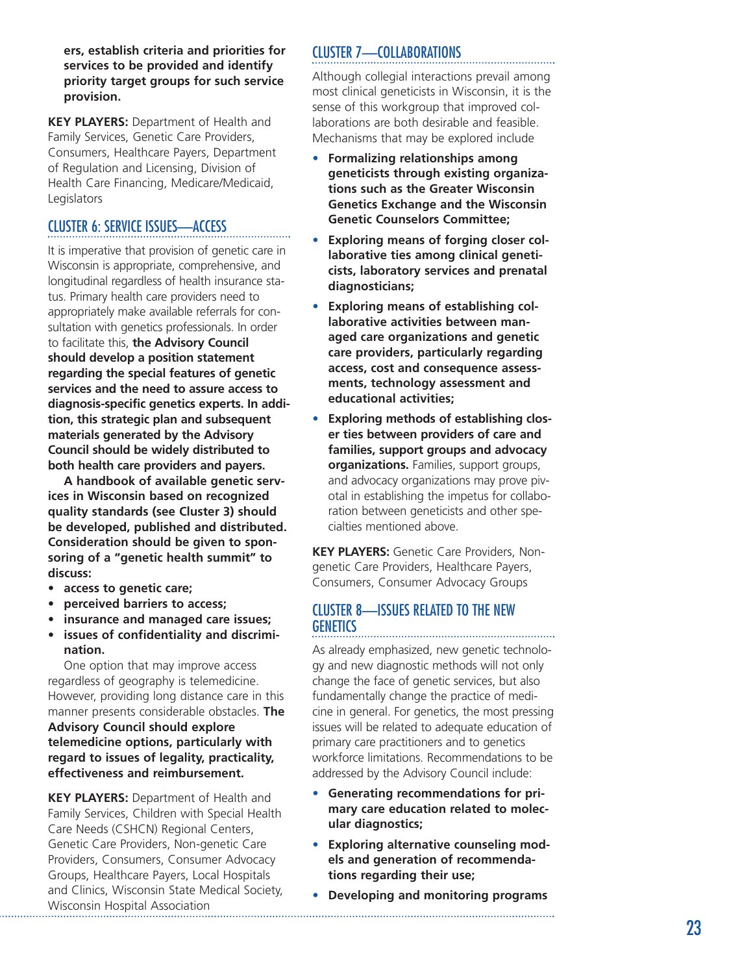**ers, establish criteria and priorities for services to be provided and identify priority target groups for such service provision.**

**KEY PLAYERS:** Department of Health and Family Services, Genetic Care Providers, Consumers, Healthcare Payers, Department of Regulation and Licensing, Division of Health Care Financing, Medicare/Medicaid, Legislators

### CLUSTER 6: SERVICE ISSUES—ACCESS

It is imperative that provision of genetic care in Wisconsin is appropriate, comprehensive, and longitudinal regardless of health insurance status. Primary health care providers need to appropriately make available referrals for consultation with genetics professionals. In order to facilitate this, **the Advisory Council should develop a position statement regarding the special features of genetic services and the need to assure access to diagnosis-specific genetics experts. In addition, this strategic plan and subsequent materials generated by the Advisory Council should be widely distributed to both health care providers and payers.**

**A handbook of available genetic services in Wisconsin based on recognized quality standards (see Cluster 3) should be developed, published and distributed. Consideration should be given to sponsoring of a "genetic health summit" to discuss:**

- **access to genetic care;**
- **perceived barriers to access;**
- **insurance and managed care issues;**
- **issues of confidentiality and discrimination.**

One option that may improve access regardless of geography is telemedicine. However, providing long distance care in this manner presents considerable obstacles. **The Advisory Council should explore telemedicine options, particularly with regard to issues of legality, practicality, effectiveness and reimbursement.**

**KEY PLAYERS:** Department of Health and Family Services, Children with Special Health Care Needs (CSHCN) Regional Centers, Genetic Care Providers, Non-genetic Care Providers, Consumers, Consumer Advocacy Groups, Healthcare Payers, Local Hospitals and Clinics, Wisconsin State Medical Society, Wisconsin Hospital Association

### CLUSTER 7—COLLABORATIONS

Although collegial interactions prevail among most clinical geneticists in Wisconsin, it is the sense of this workgroup that improved collaborations are both desirable and feasible. Mechanisms that may be explored include

- *•* **Formalizing relationships among geneticists through existing organizations such as the Greater Wisconsin Genetics Exchange and the Wisconsin Genetic Counselors Committee;**
- *•* **Exploring means of forging closer collaborative ties among clinical geneticists, laboratory services and prenatal diagnosticians;**
- *•* **Exploring means of establishing collaborative activities between managed care organizations and genetic care providers, particularly regarding access, cost and consequence assessments, technology assessment and educational activities;**
- *•* **Exploring methods of establishing closer ties between providers of care and families, support groups and advocacy organizations.** Families, support groups, and advocacy organizations may prove pivotal in establishing the impetus for collaboration between geneticists and other specialties mentioned above.

**KEY PLAYERS:** Genetic Care Providers, Nongenetic Care Providers, Healthcare Payers, Consumers, Consumer Advocacy Groups

### CLUSTER 8—ISSUES RELATED TO THE NEW **GENETICS**

As already emphasized, new genetic technology and new diagnostic methods will not only change the face of genetic services, but also fundamentally change the practice of medicine in general. For genetics, the most pressing issues will be related to adequate education of primary care practitioners and to genetics workforce limitations. Recommendations to be addressed by the Advisory Council include:

- *•* **Generating recommendations for primary care education related to molecular diagnostics;**
- *•* **Exploring alternative counseling models and generation of recommendations regarding their use;**
- *•* **Developing and monitoring programs**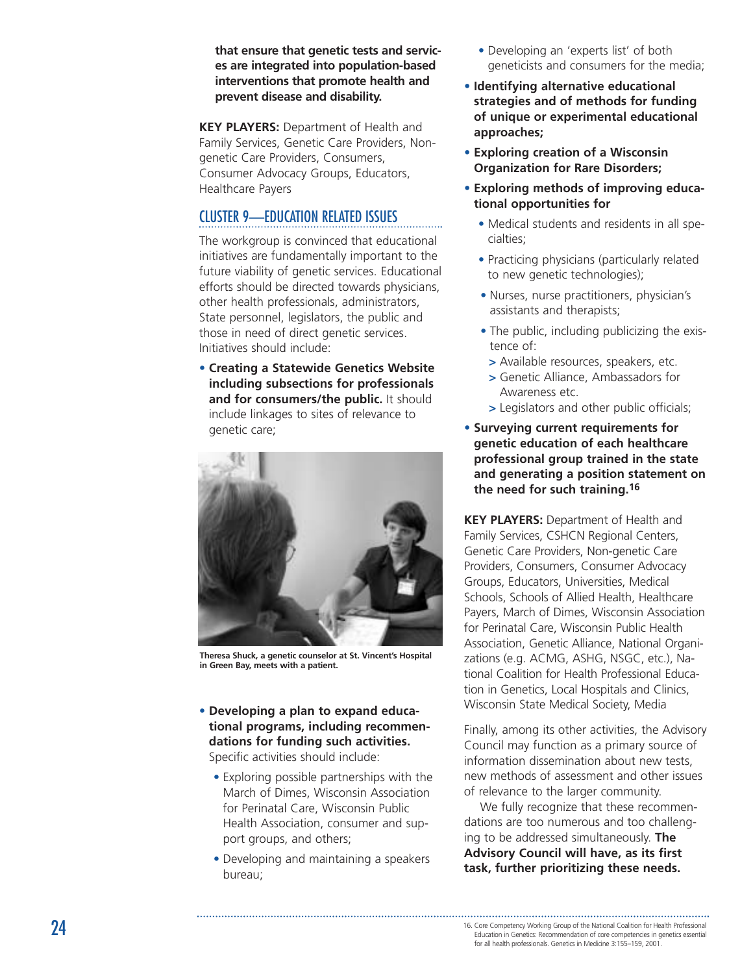**that ensure that genetic tests and services are integrated into population-based interventions that promote health and prevent disease and disability.**

**KEY PLAYERS:** Department of Health and Family Services, Genetic Care Providers, Nongenetic Care Providers, Consumers, Consumer Advocacy Groups, Educators, Healthcare Payers

### CLUSTER 9—EDUCATION RELATED ISSUES

The workgroup is convinced that educational initiatives are fundamentally important to the future viability of genetic services. Educational efforts should be directed towards physicians, other health professionals, administrators, State personnel, legislators, the public and those in need of direct genetic services. Initiatives should include:

• **Creating a Statewide Genetics Website including subsections for professionals and for consumers/the public.** It should include linkages to sites of relevance to genetic care;



**Theresa Shuck, a genetic counselor at St. Vincent's Hospital in Green Bay, meets with a patient.**

- **Developing a plan to expand educational programs, including recommendations for funding such activities.** Specific activities should include:
	- Exploring possible partnerships with the March of Dimes, Wisconsin Association for Perinatal Care, Wisconsin Public Health Association, consumer and support groups, and others;
	- Developing and maintaining a speakers bureau;
- Developing an 'experts list ' of both geneticists and consumers for the media;
- **Identifying alternative educational strategies and of methods for funding of unique or experimental educational approaches;**
- **Exploring creation of a Wisconsin Organization for Rare Disorders;**
- **Exploring methods of improving educational opportunities for**
	- Medical students and residents in all specialties;
	- Practicing physicians (particularly related to new genetic technologies);
	- Nurses, nurse practitioners, physician 's assistants and therapists;
	- The public, including publicizing the existence of:
	- *>* Available resources, speakers, etc.
	- *>* Genetic Alliance, Ambassadors for Awareness etc.
	- *>* Legislators and other public officials;
- **Surveying current requirements for genetic education of each healthcare professional group trained in the state and generating a position statement on the need for such training.16**

**KEY PLAYERS:** Department of Health and Family Services, CSHCN Regional Centers, Genetic Care Providers, Non-genetic Care Providers, Consumers, Consumer Advocacy Groups, Educators, Universities, Medical Schools, Schools of Allied Health, Healthcare Payers, March of Dimes, Wisconsin Association for Perinatal Care, Wisconsin Public Health Association, Genetic Alliance, National Organizations (e.g. ACMG, ASHG, NSGC, etc.), National Coalition for Health Professional Education in Genetics, Local Hospitals and Clinics, Wisconsin State Medical Society, Media

Finally, among its other activities, the Advisory Council may function as a primary source of information dissemination about new tests, new methods of assessment and other issues of relevance to the larger community.

We fully recognize that these recommendations are too numerous and too challenging to be addressed simultaneously. **The Advisory Council will have, as its first task, further prioritizing these needs.**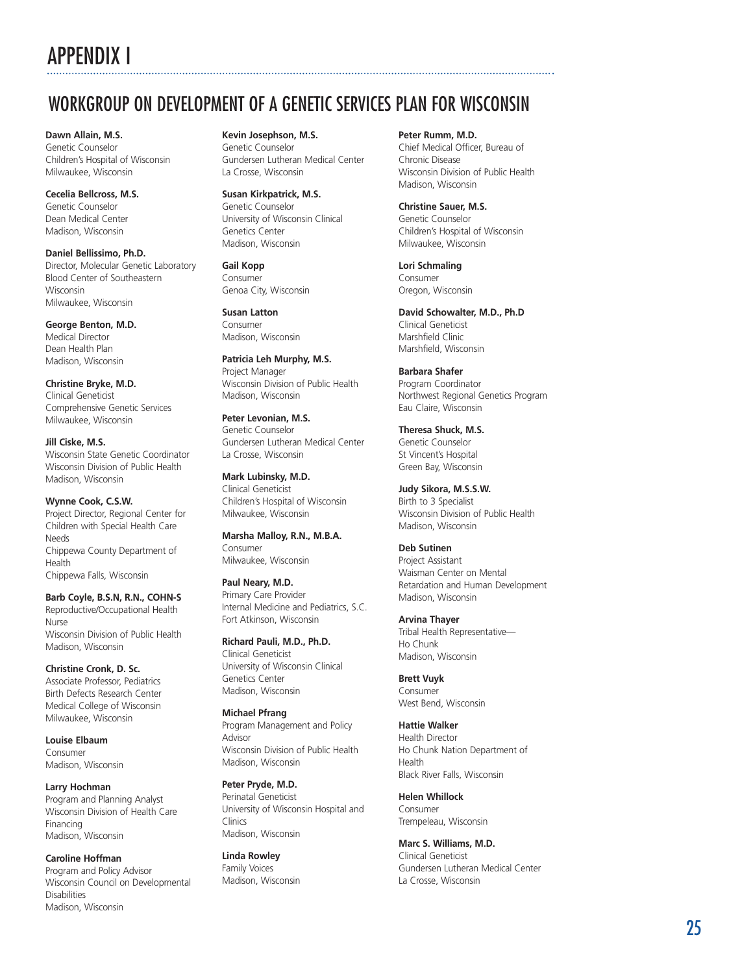# <span id="page-24-0"></span>APPENDIX I

# WORKGROUP ON DEVELOPMENT OF A GENETIC SERVICES PLAN FOR WISCONSIN

**Dawn Allain, M.S.** Genetic Counselor Children 's Hospital of Wisconsin Milwaukee, Wisconsin

**Cecelia Bellcross, M.S.** Genetic Counselor Dean Medical Center Madison, Wisconsin

**Daniel Bellissimo, Ph.D.** Director, Molecular Genetic Laboratory Blood Center of Southeastern Wisconsin Milwaukee, Wisconsin

**George Benton, M.D.** Medical Director Dean Health Plan Madison, Wisconsin

**Christine Bryke, M.D.** Clinical Geneticist Comprehensive Genetic Services Milwaukee, Wisconsin

**Jill Ciske, M.S.** Wisconsin State Genetic Coordinator Wisconsin Division of Public Health Madison, Wisconsin

**Wynne Cook, C.S.W.** Project Director, Regional Center for Children with Special Health Care Needs Chippewa County Department of Health Chippewa Falls, Wisconsin

**Barb Coyle, B.S.N, R.N., COHN-S** Reproductive/Occupational Health Nurse Wisconsin Division of Public Health Madison, Wisconsin

**Christine Cronk, D. Sc.** Associate Professor, Pediatrics Birth Defects Research Center Medical College of Wisconsin Milwaukee, Wisconsin

**Louise Elbaum** Consumer Madison, Wisconsin

**Larry Hochman** Program and Planning Analyst Wisconsin Division of Health Care Financing Madison, Wisconsin

**Caroline Hoffman** Program and Policy Advisor Wisconsin Council on Developmental Disabilities Madison, Wisconsin

**Kevin Josephson, M.S.** Genetic Counselor Gundersen Lutheran Medical Center La Crosse, Wisconsin

**Susan Kirkpatrick, M.S.** Genetic Counselor University of Wisconsin Clinical Genetics Center Madison, Wisconsin

**Gail Kopp** Consumer Genoa City, Wisconsin

**Susan Latton** Consumer Madison, Wisconsin

**Patricia Leh Murphy, M.S.** Project Manager Wisconsin Division of Public Health Madison, Wisconsin

**Peter Levonian, M.S.** Genetic Counselor Gundersen Lutheran Medical Center La Crosse, Wisconsin

**Mark Lubinsky, M.D.** Clinical Geneticist Children 's Hospital of Wisconsin Milwaukee, Wisconsin

**Marsha Malloy, R.N., M.B.A.** Consumer Milwaukee, Wisconsin

**Paul Neary, M.D.** Primary Care Provider Internal Medicine and Pediatrics, S.C. Fort Atkinson, Wisconsin

**Richard Pauli, M.D., Ph.D.** Clinical Geneticist University of Wisconsin Clinical Genetics Center Madison, Wisconsin

**Michael Pfrang** Program Management and Policy Advisor Wisconsin Division of Public Health Madison, Wisconsin

**Peter Pryde, M.D.** Perinatal Geneticist University of Wisconsin Hospital and Clinics Madison, Wisconsin

**Linda Rowley** Family Voices Madison, Wisconsin **Peter Rumm, M.D.** Chief Medical Officer, Bureau of Chronic Disease Wisconsin Division of Public Health Madison, Wisconsin

**Christine Sauer, M.S.** Genetic Counselor Children 's Hospital of Wisconsin Milwaukee, Wisconsin

**Lori Schmaling** Consumer Oregon, Wisconsin

**David Schowalter, M.D., Ph.D** Clinical Geneticist Marshfield Clinic Marshfield, Wisconsin

**Barbara Shafer** Program Coordinator Northwest Regional Genetics Program Eau Claire, Wisconsin

**Theresa Shuck, M.S.** Genetic Counselor St Vincent 's Hospital Green Bay, Wisconsin

**Judy Sikora, M.S.S.W.** Birth to 3 Specialist Wisconsin Division of Public Health Madison, Wisconsin

**Deb Sutinen**

Project Assistant Waisman Center on Mental Retardation and Human Development Madison, Wisconsin

**Arvina Thayer** Tribal Health Representative — Ho Chunk Madison, Wisconsin

**Brett Vuyk** Consumer West Bend, Wisconsin

**Hattie Walker** Health Director Ho Chunk Nation Department of Health Black River Falls, Wisconsin

**Helen Whillock** Consumer Trempeleau, Wisconsin

**Marc S. Williams, M.D.** Clinical Geneticist Gundersen Lutheran Medical Center La Crosse, Wisconsin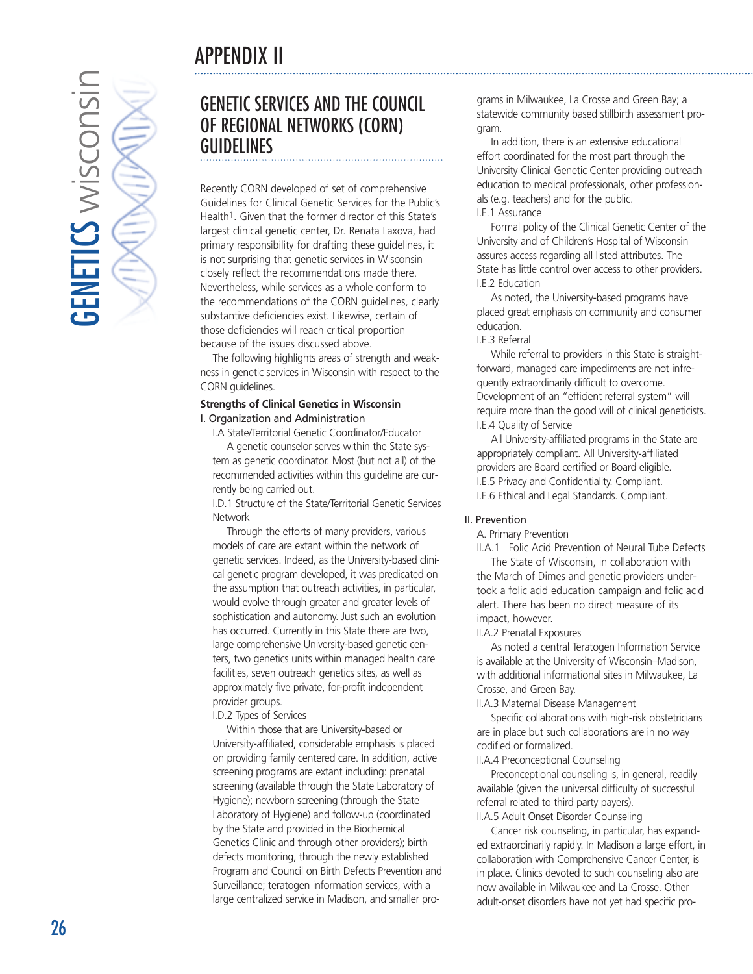# APPENDIX II

<span id="page-25-0"></span>

# GENETIC SERVICES AND THE COUNCIL OF REGIONAL NETWORKS (CORN) GUIDELINES

Recently CORN developed of set of comprehensive Guidelines for Clinical Genetic Services for the Public's Health<sup>1</sup>. Given that the former director of this State's largest clinical genetic center, Dr. Renata Laxova, had primary responsibility for drafting these guidelines, it is not surprising that genetic services in Wisconsin closely reflect the recommendations made there. Nevertheless, while services as a whole conform to the recommendations of the CORN guidelines, clearly substantive deficiencies exist. Likewise, certain of those deficiencies will reach critical proportion because of the issues discussed above.

The following highlights areas of strength and weakness in genetic services in Wisconsin with respect to the CORN guidelines.

#### **Strengths of Clinical Genetics in Wisconsin** I. Organization and Administration

I.A State/Territorial Genetic Coordinator/Educator A genetic counselor serves within the State system as genetic coordinator. Most (but not all) of the recommended activities within this guideline are currently being carried out.

I.D.1 Structure of the State/Territorial Genetic Services Network

Through the efforts of many providers, various models of care are extant within the network of genetic services. Indeed, as the University-based clinical genetic program developed, it was predicated on the assumption that outreach activities, in particular, would evolve through greater and greater levels of sophistication and autonomy. Just such an evolution has occurred. Currently in this State there are two, large comprehensive University-based genetic centers, two genetics units within managed health care facilities, seven outreach genetics sites, as well as approximately five private, for-profit independent provider groups.

I.D.2 Types of Services

Within those that are University-based or University-affiliated, considerable emphasis is placed on providing family centered care. In addition, active screening programs are extant including: prenatal screening (available through the State Laboratory of Hygiene); newborn screening (through the State Laboratory of Hygiene) and follow-up (coordinated by the State and provided in the Biochemical Genetics Clinic and through other providers); birth defects monitoring, through the newly established Program and Council on Birth Defects Prevention and Surveillance; teratogen information services, with a large centralized service in Madison, and smaller programs in Milwaukee, La Crosse and Green Bay; a statewide community based stillbirth assessment program.

In addition, there is an extensive educational effort coordinated for the most part through the University Clinical Genetic Center providing outreach education to medical professionals, other professionals (e.g. teachers) and for the public.

I.E.1 Assurance

Formal policy of the Clinical Genetic Center of the University and of Children's Hospital of Wisconsin assures access regarding all listed attributes. The State has little control over access to other providers. I.E.2 Education

As noted, the University-based programs have placed great emphasis on community and consumer education.

I.E.3 Referral

While referral to providers in this State is straightforward, managed care impediments are not infrequently extraordinarily difficult to overcome. Development of an "efficient referral system" will require more than the good will of clinical geneticists. I.E.4 Quality of Service

All University-affiliated programs in the State are appropriately compliant. All University-affiliated providers are Board certified or Board eligible. I.E.5 Privacy and Confidentiality. Compliant. I.E.6 Ethical and Legal Standards. Compliant.

### II. Prevention

A. Primary Prevention

II.A.1 Folic Acid Prevention of Neural Tube Defects The State of Wisconsin, in collaboration with the March of Dimes and genetic providers under-

took a folic acid education campaign and folic acid alert. There has been no direct measure of its impact, however.

II.A.2 Prenatal Exposures

As noted a central Teratogen Information Service is available at the University of Wisconsin–Madison, with additional informational sites in Milwaukee, La Crosse, and Green Bay.

II.A.3 Maternal Disease Management

Specific collaborations with high-risk obstetricians are in place but such collaborations are in no way codified or formalized.

II.A.4 Preconceptional Counseling

Preconceptional counseling is, in general, readily available (given the universal difficulty of successful referral related to third party payers).

II.A.5 Adult Onset Disorder Counseling

Cancer risk counseling, in particular, has expanded extraordinarily rapidly. In Madison a large effort, in collaboration with Comprehensive Cancer Center, is in place. Clinics devoted to such counseling also are now available in Milwaukee and La Crosse. Other adult-onset disorders have not yet had specific pro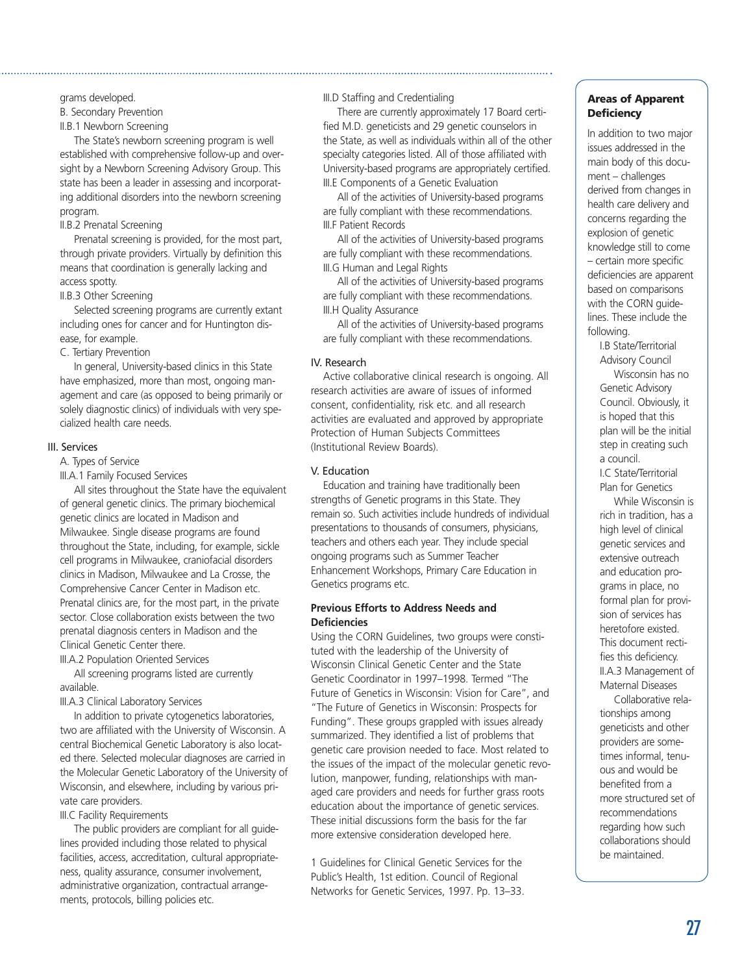grams developed.

B. Secondary Prevention

II.B.1 Newborn Screening

The State's newborn screening program is well established with comprehensive follow-up and oversight by a Newborn Screening Advisory Group. This state has been a leader in assessing and incorporating additional disorders into the newborn screening program.

II.B.2 Prenatal Screening

Prenatal screening is provided, for the most part, through private providers. Virtually by definition this means that coordination is generally lacking and access spotty.

II.B.3 Other Screening

Selected screening programs are currently extant including ones for cancer and for Huntington disease, for example.

C. Tertiary Prevention

In general, University-based clinics in this State have emphasized, more than most, ongoing management and care (as opposed to being primarily or solely diagnostic clinics) of individuals with very specialized health care needs.

#### III. Services

A. Types of Service

III.A.1 Family Focused Services

All sites throughout the State have the equivalent of general genetic clinics. The primary biochemical genetic clinics are located in Madison and Milwaukee. Single disease programs are found throughout the State, including, for example, sickle cell programs in Milwaukee, craniofacial disorders clinics in Madison, Milwaukee and La Crosse, the Comprehensive Cancer Center in Madison etc. Prenatal clinics are, for the most part, in the private sector. Close collaboration exists between the two prenatal diagnosis centers in Madison and the Clinical Genetic Center there.

III.A.2 Population Oriented Services

All screening programs listed are currently available.

III.A.3 Clinical Laboratory Services

In addition to private cytogenetics laboratories, two are affiliated with the University of Wisconsin. A central Biochemical Genetic Laboratory is also located there. Selected molecular diagnoses are carried in the Molecular Genetic Laboratory of the University of Wisconsin, and elsewhere, including by various private care providers.

III.C Facility Requirements

The public providers are compliant for all guidelines provided including those related to physical facilities, access, accreditation, cultural appropriateness, quality assurance, consumer involvement, administrative organization, contractual arrangements, protocols, billing policies etc.

III.D Staffing and Credentialing

There are currently approximately 17 Board certified M.D. geneticists and 29 genetic counselors in the State, as well as individuals within all of the other specialty categories listed. All of those affiliated with University-based programs are appropriately certified. III.E Components of a Genetic Evaluation

All of the activities of University-based programs are fully compliant with these recommendations. III.F Patient Records

All of the activities of University-based programs are fully compliant with these recommendations. III.G Human and Legal Rights

All of the activities of University-based programs are fully compliant with these recommendations. III.H Quality Assurance

All of the activities of University-based programs are fully compliant with these recommendations.

#### IV. Research

Active collaborative clinical research is ongoing. All research activities are aware of issues of informed consent, confidentiality, risk etc. and all research activities are evaluated and approved by appropriate Protection of Human Subjects Committees (Institutional Review Boards).

#### V. Education

Education and training have traditionally been strengths of Genetic programs in this State. They remain so. Such activities include hundreds of individual presentations to thousands of consumers, physicians, teachers and others each year. They include special ongoing programs such as Summer Teacher Enhancement Workshops, Primary Care Education in Genetics programs etc.

### **Previous Efforts to Address Needs and Deficiencies**

Using the CORN Guidelines, two groups were constituted with the leadership of the University of Wisconsin Clinical Genetic Center and the State Genetic Coordinator in 1997–1998. Termed "The Future of Genetics in Wisconsin: Vision for Care", and "The Future of Genetics in Wisconsin: Prospects for Funding". These groups grappled with issues already summarized. They identified a list of problems that genetic care provision needed to face. Most related to the issues of the impact of the molecular genetic revolution, manpower, funding, relationships with managed care providers and needs for further grass roots education about the importance of genetic services. These initial discussions form the basis for the far more extensive consideration developed here.

1 Guidelines for Clinical Genetic Services for the Public's Health, 1st edition. Council of Regional Networks for Genetic Services, 1997. Pp. 13–33.

### **Areas of Apparent Deficiency**

In addition to two major issues addressed in the main body of this document – challenges derived from changes in health care delivery and concerns regarding the explosion of genetic knowledge still to come – certain more specific deficiencies are apparent based on comparisons with the CORN guidelines. These include the following.

I.B State/Territorial Advisory Council

Wisconsin has no Genetic Advisory Council. Obviously, it is hoped that this plan will be the initial step in creating such a council.

I.C State/Territorial Plan for Genetics

While Wisconsin is rich in tradition, has a high level of clinical genetic services and extensive outreach and education programs in place, no formal plan for provision of services has heretofore existed. This document rectifies this deficiency. II.A.3 Management of Maternal Diseases

Collaborative relationships among geneticists and other providers are sometimes informal, tenuous and would be benefited from a more structured set of recommendations regarding how such collaborations should be maintained.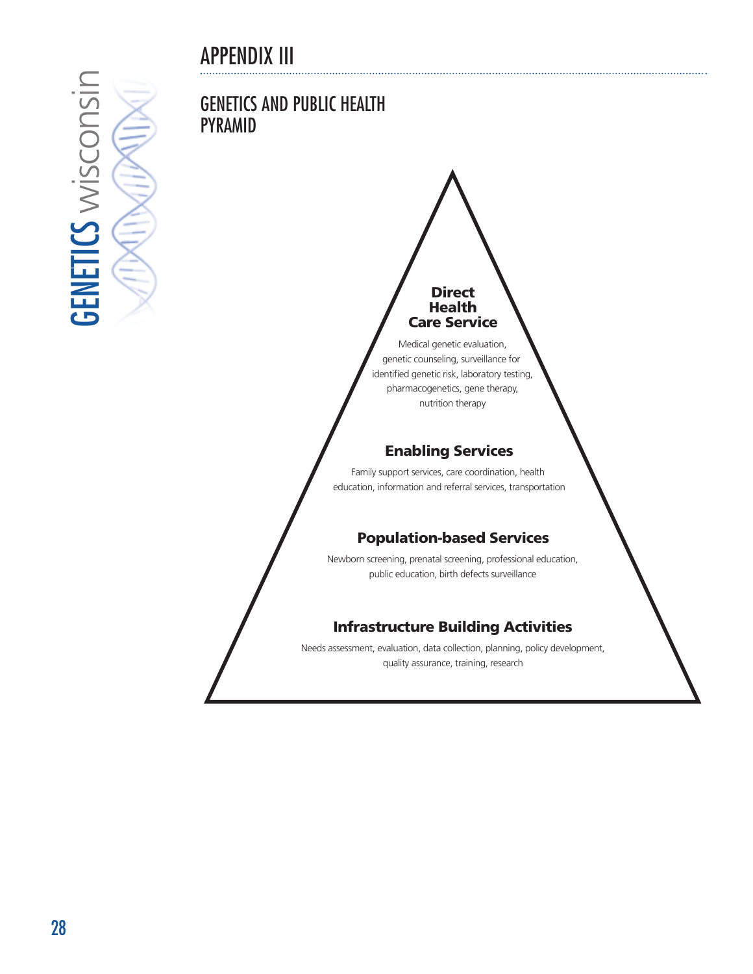# APPENDIX III

<span id="page-27-0"></span>**GENETICS WISCONSIN GENETICS wisconsin** 

### GENETICS AND PUBLIC HEALTH PYRAMID

# **Direct Health Care Service**

Medical genetic evaluation, genetic counseling, surveillance for identified genetic risk, laboratory testing, pharmacogenetics, gene therapy, nutrition therapy

### **Enabling Services**

Family support services, care coordination, health education, information and referral services, transportation

### **Population-based Services**

Newborn screening, prenatal screening, professional education, public education, birth defects surveillance

### **Infrastructure Building Activities**

Needs assessment, evaluation, data collection, planning, policy development, quality assurance, training, research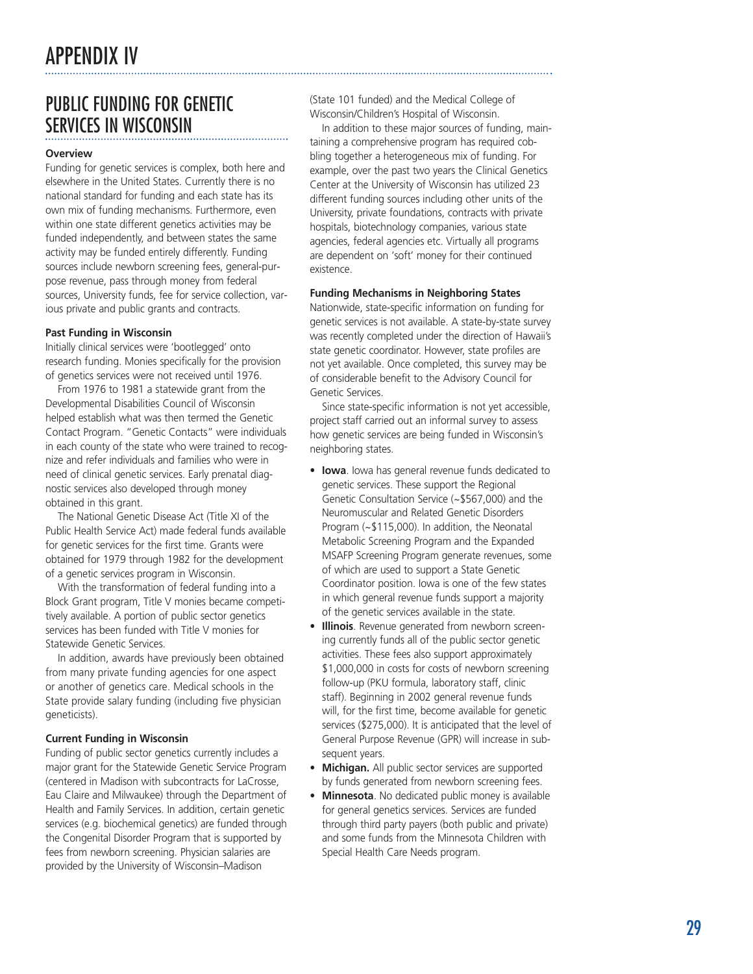# <span id="page-28-0"></span>PUBLIC FUNDING FOR GENETIC SERVICES IN WISCONSIN

#### **Overview**

Funding for genetic services is complex, both here and elsewhere in the United States. Currently there is no national standard for funding and each state has its own mix of funding mechanisms. Furthermore, even within one state different genetics activities may be funded independently, and between states the same activity may be funded entirely differently. Funding sources include newborn screening fees, general-purpose revenue, pass through money from federal sources, University funds, fee for service collection, various private and public grants and contracts.

#### **Past Funding in Wisconsin**

Initially clinical services were 'bootlegged ' onto research funding. Monies specifically for the provision of genetics services were not received until 1976.

From 1976 to 1981 a statewide grant from the Developmental Disabilities Council of Wisconsin helped establish what was then termed the Genetic Contact Program. "Genetic Contacts " were individuals in each county of the state who were trained to recognize and refer individuals and families who were in need of clinical genetic services. Early prenatal diagnostic services also developed through money obtained in this grant.

The National Genetic Disease Act (Title XI of the Public Health Service Act) made federal funds available for genetic services for the first time. Grants were obtained for 1979 through 1982 for the development of a genetic services program in Wisconsin.

With the transformation of federal funding into a Block Grant program, Title V monies became competitively available. A portion of public sector genetics services has been funded with Title V monies for Statewide Genetic Services.

In addition, awards have previously been obtained from many private funding agencies for one aspect or another of genetics care. Medical schools in the State provide salary funding (including five physician geneticists).

### **Current Funding in Wisconsin**

Funding of public sector genetics currently includes a major grant for the Statewide Genetic Service Program (centered in Madison with subcontracts for LaCrosse, Eau Claire and Milwaukee) through the Department of Health and Family Services. In addition, certain genetic services (e.g. biochemical genetics) are funded through the Congenital Disorder Program that is supported by fees from newborn screening. Physician salaries are provided by the University of Wisconsin –Madison

(State 101 funded) and the Medical College of Wisconsin/Children 's Hospital of Wisconsin.

In addition to these major sources of funding, maintaining a comprehensive program has required cobbling together a heterogeneous mix of funding. For example, over the past two years the Clinical Genetics Center at the University of Wisconsin has utilized 23 different funding sources including other units of the University, private foundations, contracts with private hospitals, biotechnology companies, various state agencies, federal agencies etc. Virtually all programs are dependent on 'soft ' money for their continued existence.

### **Funding Mechanisms in Neighboring States**

Nationwide, state-specific information on funding for genetic services is not available. A state-by-state survey was recently completed under the direction of Hawaii 's state genetic coordinator. However, state profiles are not yet available. Once completed, this survey may be of considerable benefit to the Advisory Council for Genetic Services.

Since state-specific information is not yet accessible, project staff carried out an informal survey to assess how genetic services are being funded in Wisconsin 's neighboring states.

- **Iowa**. Iowa has general revenue funds dedicated to genetic services. These support the Regional Genetic Consultation Service (~\$567,000) and the Neuromuscular and Related Genetic Disorders Program (~\$115,000). In addition, the Neonatal Metabolic Screening Program and the Expanded MSAFP Screening Program generate revenues, some of which are used to support a State Genetic Coordinator position. Iowa is one of the few states in which general revenue funds support a majority of the genetic services available in the state.
- **Illinois**. Revenue generated from newborn screening currently funds all of the public sector genetic activities. These fees also support approximately \$1,000,000 in costs for costs of newborn screening follow-up (PKU formula, laboratory staff, clinic staff). Beginning in 2002 general revenue funds will, for the first time, become available for genetic services (\$275,000). It is anticipated that the level of General Purpose Revenue (GPR) will increase in subsequent years.
- **Michigan.** All public sector services are supported by funds generated from newborn screening fees.
- **Minnesota**. No dedicated public money is available for general genetics services. Services are funded through third party payers (both public and private) and some funds from the Minnesota Children with Special Health Care Needs program.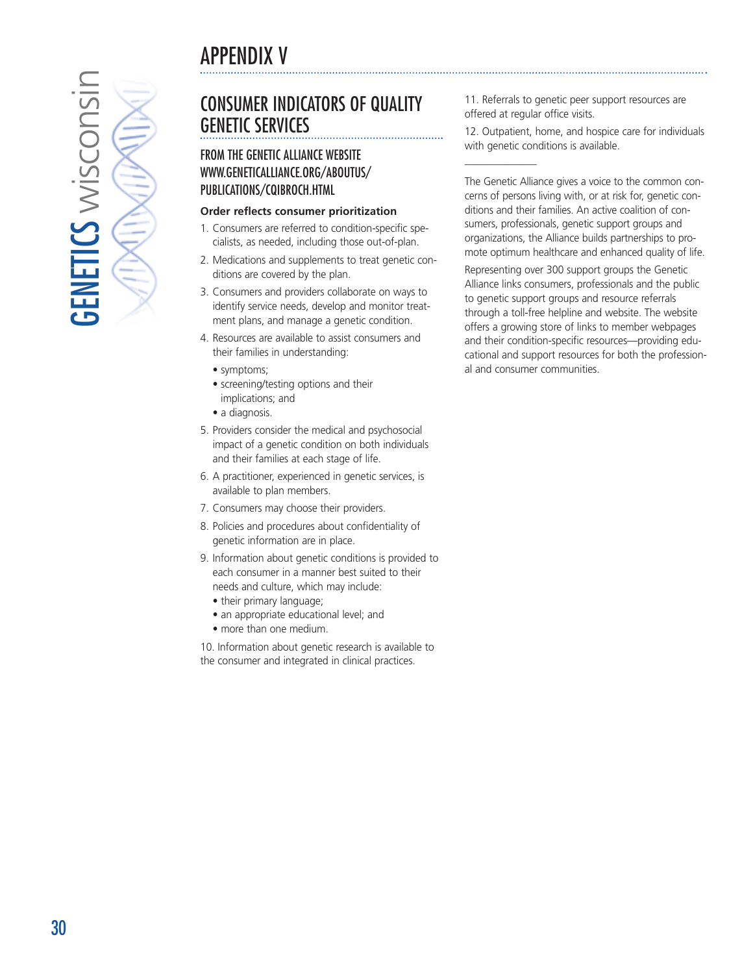<span id="page-29-0"></span>**GENETICS wisconsin**  $5$ ENETICS wisconsi

# CONSUMER INDICATORS OF QUALITY GENETIC SERVICES

### FROM THE GENETIC ALLIANCE WEBSITE WWW.GENETICALLIANCE.ORG/ABOUTUS/ PUBLICATIONS/CQIBROCH.HTML

### **Order reflects consumer prioritization**

- 1. Consumers are referred to condition-specific specialists, as needed, including those out-of-plan.
- 2. Medications and supplements to treat genetic conditions are covered by the plan.
- 3. Consumers and providers collaborate on ways to identify service needs, develop and monitor treatment plans, and manage a genetic condition.
- 4. Resources are available to assist consumers and their families in understanding:
	- symptoms;
	- screening/testing options and their implications; and
	- a diagnosis.
- 5. Providers consider the medical and psychosocial impact of a genetic condition on both individuals and their families at each stage of life.
- 6. A practitioner, experienced in genetic services, is available to plan members.
- 7. Consumers may choose their providers.
- 8. Policies and procedures about confidentiality of genetic information are in place.
- 9. Information about genetic conditions is provided to each consumer in a manner best suited to their needs and culture, which may include:
	- their primary language;
	- an appropriate educational level; and
	- more than one medium.

10. Information about genetic research is available to the consumer and integrated in clinical practices.

11. Referrals to genetic peer support resources are offered at regular office visits.

\_\_\_\_\_\_\_\_\_\_\_\_\_\_

12. Outpatient, home, and hospice care for individuals with genetic conditions is available.

The Genetic Alliance gives a voice to the common concerns of persons living with, or at risk for, genetic conditions and their families. An active coalition of consumers, professionals, genetic support groups and organizations, the Alliance builds partnerships to promote optimum healthcare and enhanced quality of life.

Representing over 300 support groups the Genetic Alliance links consumers, professionals and the public to genetic support groups and resource referrals through a toll-free helpline and website. The website offers a growing store of links to member webpages and their condition-specific resources—providing educational and support resources for both the professional and consumer communities.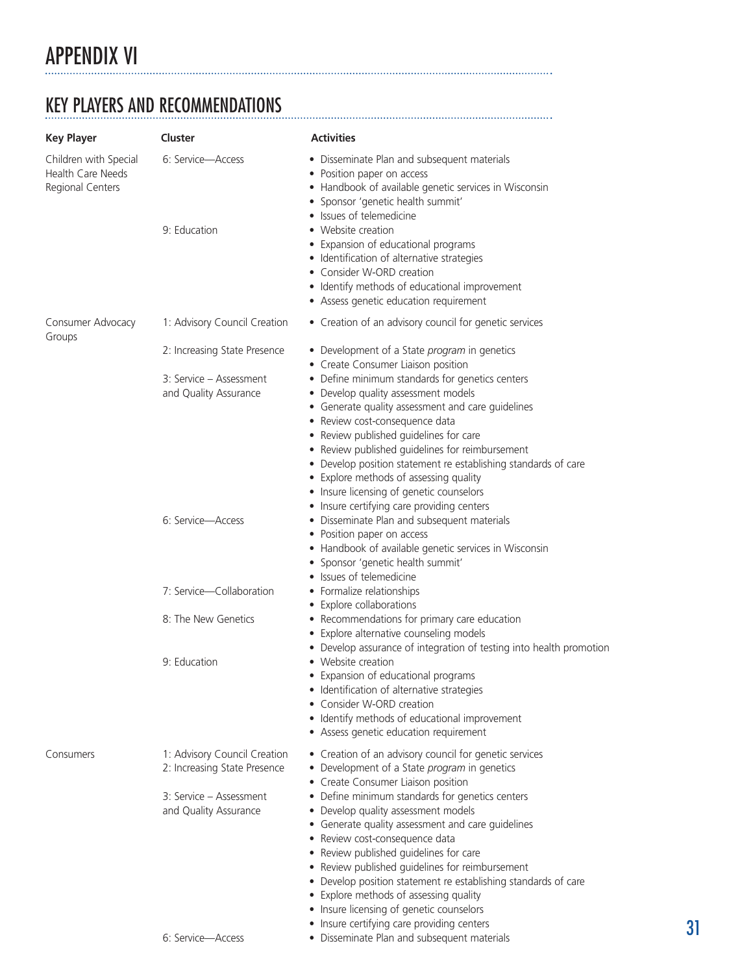# <span id="page-30-0"></span>APPENDIX VI

# KEY PLAYERS AND RECOMMENDATIONS

| <b>Key Player</b>                                                     | Cluster                                                                                                          | <b>Activities</b>                                                                                                                                                                                                                                                                                                                                                                                                                                                                                                                                                                                                                |  |
|-----------------------------------------------------------------------|------------------------------------------------------------------------------------------------------------------|----------------------------------------------------------------------------------------------------------------------------------------------------------------------------------------------------------------------------------------------------------------------------------------------------------------------------------------------------------------------------------------------------------------------------------------------------------------------------------------------------------------------------------------------------------------------------------------------------------------------------------|--|
| Children with Special<br><b>Health Care Needs</b><br>Regional Centers | 6: Service-Access<br>9: Education                                                                                | • Disseminate Plan and subsequent materials<br>• Position paper on access<br>• Handbook of available genetic services in Wisconsin<br>· Sponsor 'genetic health summit'<br>• Issues of telemedicine<br>• Website creation<br>• Expansion of educational programs<br>• Identification of alternative strategies<br>• Consider W-ORD creation<br>• Identify methods of educational improvement<br>• Assess genetic education requirement                                                                                                                                                                                           |  |
| Consumer Advocacy<br>Groups                                           | 1: Advisory Council Creation                                                                                     | • Creation of an advisory council for genetic services                                                                                                                                                                                                                                                                                                                                                                                                                                                                                                                                                                           |  |
|                                                                       | 2: Increasing State Presence<br>3: Service – Assessment<br>and Quality Assurance                                 | • Development of a State program in genetics<br>• Create Consumer Liaison position<br>• Define minimum standards for genetics centers<br>• Develop quality assessment models<br>• Generate quality assessment and care guidelines<br>• Review cost-consequence data<br>• Review published guidelines for care<br>• Review published guidelines for reimbursement<br>• Develop position statement re establishing standards of care<br>• Explore methods of assessing quality<br>• Insure licensing of genetic counselors                                                                                                         |  |
|                                                                       | 6: Service-Access                                                                                                | • Insure certifying care providing centers<br>· Disseminate Plan and subsequent materials<br>• Position paper on access<br>• Handbook of available genetic services in Wisconsin<br>· Sponsor 'genetic health summit'<br>• Issues of telemedicine                                                                                                                                                                                                                                                                                                                                                                                |  |
|                                                                       | 7: Service-Collaboration                                                                                         | • Formalize relationships<br>• Explore collaborations                                                                                                                                                                                                                                                                                                                                                                                                                                                                                                                                                                            |  |
|                                                                       | 8: The New Genetics                                                                                              | • Recommendations for primary care education<br>• Explore alternative counseling models<br>• Develop assurance of integration of testing into health promotion                                                                                                                                                                                                                                                                                                                                                                                                                                                                   |  |
|                                                                       | 9: Education                                                                                                     | • Website creation<br>• Expansion of educational programs<br>• Identification of alternative strategies<br>• Consider W-ORD creation<br>• Identify methods of educational improvement<br>• Assess genetic education requirement                                                                                                                                                                                                                                                                                                                                                                                                  |  |
| Consumers                                                             | 1: Advisory Council Creation<br>2: Increasing State Presence<br>3: Service - Assessment<br>and Quality Assurance | • Creation of an advisory council for genetic services<br>• Development of a State program in genetics<br>• Create Consumer Liaison position<br>• Define minimum standards for genetics centers<br>• Develop quality assessment models<br>• Generate quality assessment and care guidelines<br>• Review cost-consequence data<br>• Review published guidelines for care<br>• Review published guidelines for reimbursement<br>• Develop position statement re establishing standards of care<br>• Explore methods of assessing quality<br>• Insure licensing of genetic counselors<br>• Insure certifying care providing centers |  |
|                                                                       | 6: Service-Access                                                                                                | • Disseminate Plan and subsequent materials                                                                                                                                                                                                                                                                                                                                                                                                                                                                                                                                                                                      |  |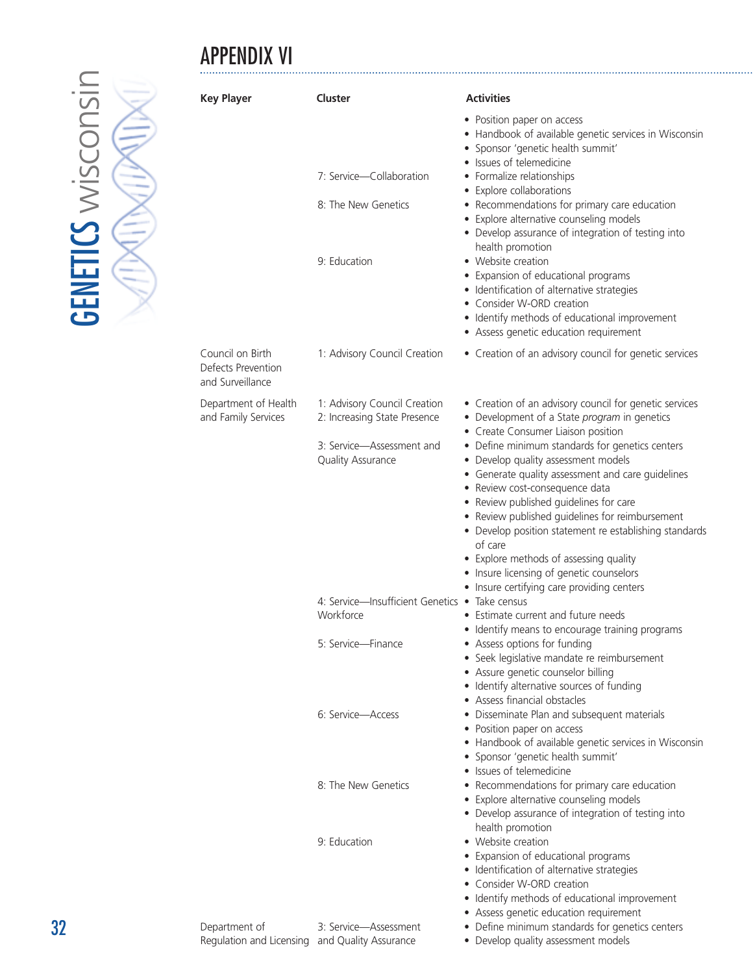# APPENDIX VI



| <b>Key Player</b>                                          | Cluster                                                         | <b>Activities</b>                                                                                                                                                                                                                                                                                                                                                                                                                                                                   |
|------------------------------------------------------------|-----------------------------------------------------------------|-------------------------------------------------------------------------------------------------------------------------------------------------------------------------------------------------------------------------------------------------------------------------------------------------------------------------------------------------------------------------------------------------------------------------------------------------------------------------------------|
|                                                            | 7: Service-Collaboration<br>8: The New Genetics<br>9: Education | • Position paper on access<br>• Handbook of available genetic services in Wisconsin<br>· Sponsor 'genetic health summit'<br>· Issues of telemedicine<br>• Formalize relationships<br>• Explore collaborations<br>• Recommendations for primary care education<br>• Explore alternative counseling models<br>• Develop assurance of integration of testing into<br>health promotion<br>• Website creation                                                                            |
|                                                            |                                                                 | • Expansion of educational programs<br>• Identification of alternative strategies<br>• Consider W-ORD creation<br>• Identify methods of educational improvement<br>• Assess genetic education requirement                                                                                                                                                                                                                                                                           |
| Council on Birth<br>Defects Prevention<br>and Surveillance | 1: Advisory Council Creation                                    | • Creation of an advisory council for genetic services                                                                                                                                                                                                                                                                                                                                                                                                                              |
| Department of Health<br>and Family Services                | 1: Advisory Council Creation<br>2: Increasing State Presence    | • Creation of an advisory council for genetic services<br>• Development of a State program in genetics<br>• Create Consumer Liaison position                                                                                                                                                                                                                                                                                                                                        |
|                                                            | 3: Service-Assessment and<br><b>Quality Assurance</b>           | • Define minimum standards for genetics centers<br>• Develop quality assessment models<br>• Generate quality assessment and care guidelines<br>• Review cost-consequence data<br>• Review published guidelines for care<br>• Review published guidelines for reimbursement<br>• Develop position statement re establishing standards<br>of care<br>• Explore methods of assessing quality<br>• Insure licensing of genetic counselors<br>• Insure certifying care providing centers |
|                                                            | 4: Service-Insufficient Genetics . Take census<br>Workforce     | • Estimate current and future needs<br>• Identify means to encourage training programs                                                                                                                                                                                                                                                                                                                                                                                              |
|                                                            | 5: Service—Finance                                              | • Assess options for funding<br>• Seek legislative mandate re reimbursement<br>• Assure genetic counselor billing<br>• Identify alternative sources of funding<br>• Assess financial obstacles                                                                                                                                                                                                                                                                                      |
|                                                            | 6: Service-Access                                               | · Disseminate Plan and subsequent materials<br>• Position paper on access<br>• Handbook of available genetic services in Wisconsin<br>· Sponsor 'genetic health summit'<br>• Issues of telemedicine                                                                                                                                                                                                                                                                                 |
|                                                            | 8: The New Genetics                                             | • Recommendations for primary care education<br>• Explore alternative counseling models<br>• Develop assurance of integration of testing into<br>health promotion                                                                                                                                                                                                                                                                                                                   |
|                                                            | 9: Education                                                    | • Website creation<br>• Expansion of educational programs<br>• Identification of alternative strategies<br>• Consider W-ORD creation<br>• Identify methods of educational improvement                                                                                                                                                                                                                                                                                               |

|                                                |                       | • Assess genetic education requirement          |
|------------------------------------------------|-----------------------|-------------------------------------------------|
| Department of                                  | 3: Service-Assessment | • Define minimum standards for genetics centers |
| Regulation and Licensing and Quality Assurance |                       | • Develop quality assessment models             |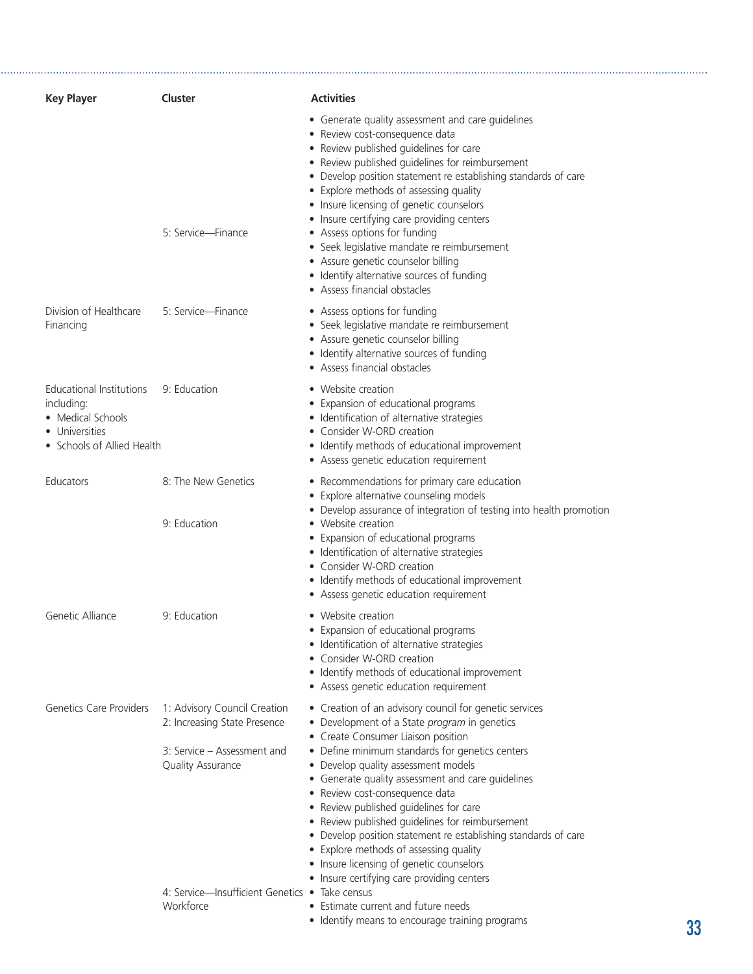| <b>Key Player</b>                                                                                           | Cluster                                                                                                                                                            | <b>Activities</b>                                                                                                                                                                                                                                                                                                                                                                                                                                                                                                                                                                                                                |    |
|-------------------------------------------------------------------------------------------------------------|--------------------------------------------------------------------------------------------------------------------------------------------------------------------|----------------------------------------------------------------------------------------------------------------------------------------------------------------------------------------------------------------------------------------------------------------------------------------------------------------------------------------------------------------------------------------------------------------------------------------------------------------------------------------------------------------------------------------------------------------------------------------------------------------------------------|----|
|                                                                                                             | 5: Service-Finance                                                                                                                                                 | • Generate quality assessment and care quidelines<br>• Review cost-consequence data<br>• Review published guidelines for care<br>• Review published guidelines for reimbursement<br>• Develop position statement re establishing standards of care<br>• Explore methods of assessing quality<br>• Insure licensing of genetic counselors<br>• Insure certifying care providing centers<br>• Assess options for funding<br>• Seek legislative mandate re reimbursement<br>• Assure genetic counselor billing<br>• Identify alternative sources of funding<br>• Assess financial obstacles                                         |    |
| Division of Healthcare<br>Financing                                                                         | 5: Service-Finance                                                                                                                                                 | • Assess options for funding<br>• Seek legislative mandate re reimbursement<br>• Assure genetic counselor billing<br>• Identify alternative sources of funding<br>• Assess financial obstacles                                                                                                                                                                                                                                                                                                                                                                                                                                   |    |
| Educational Institutions<br>including:<br>• Medical Schools<br>• Universities<br>• Schools of Allied Health | 9: Education                                                                                                                                                       | • Website creation<br>• Expansion of educational programs<br>· Identification of alternative strategies<br>• Consider W-ORD creation<br>• Identify methods of educational improvement<br>• Assess genetic education requirement                                                                                                                                                                                                                                                                                                                                                                                                  |    |
| Educators                                                                                                   | 8: The New Genetics<br>9: Education                                                                                                                                | • Recommendations for primary care education<br>• Explore alternative counseling models<br>• Develop assurance of integration of testing into health promotion<br>• Website creation<br>• Expansion of educational programs<br>· Identification of alternative strategies<br>• Consider W-ORD creation<br>• Identify methods of educational improvement<br>• Assess genetic education requirement                                                                                                                                                                                                                                |    |
| Genetic Alliance                                                                                            | 9: Education                                                                                                                                                       | • Website creation<br>• Expansion of educational programs<br>· Identification of alternative strategies<br>• Consider W-ORD creation<br>• Identify methods of educational improvement<br>• Assess genetic education requirement                                                                                                                                                                                                                                                                                                                                                                                                  |    |
| <b>Genetics Care Providers</b>                                                                              | 1: Advisory Council Creation<br>2: Increasing State Presence<br>3: Service – Assessment and<br>Quality Assurance<br>4: Service-Insufficient Genetics • Take census | • Creation of an advisory council for genetic services<br>• Development of a State program in genetics<br>• Create Consumer Liaison position<br>• Define minimum standards for genetics centers<br>• Develop quality assessment models<br>• Generate quality assessment and care quidelines<br>• Review cost-consequence data<br>• Review published guidelines for care<br>• Review published guidelines for reimbursement<br>• Develop position statement re establishing standards of care<br>• Explore methods of assessing quality<br>• Insure licensing of genetic counselors<br>• Insure certifying care providing centers |    |
|                                                                                                             | Workforce                                                                                                                                                          | • Estimate current and future needs<br>• Identify means to encourage training programs                                                                                                                                                                                                                                                                                                                                                                                                                                                                                                                                           | 33 |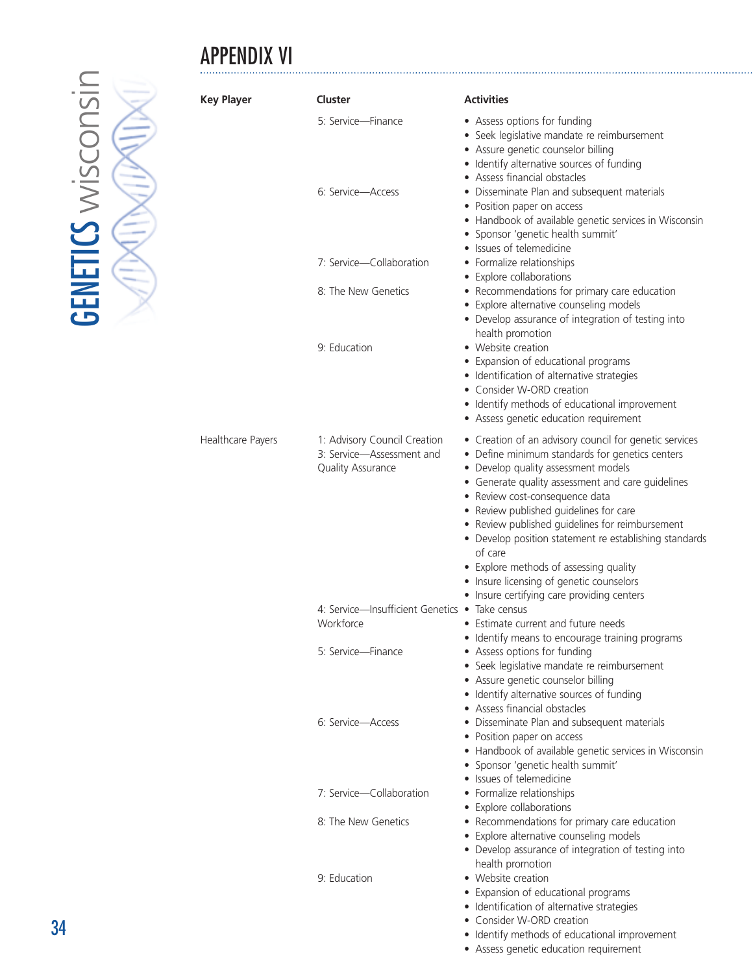# APPENDIX VI

| <b>Key Player</b> | Cluster                                                                        | <b>Activities</b>                                                                                                                                                                                                                                                                                                                                                                                                                                                                                                                             |
|-------------------|--------------------------------------------------------------------------------|-----------------------------------------------------------------------------------------------------------------------------------------------------------------------------------------------------------------------------------------------------------------------------------------------------------------------------------------------------------------------------------------------------------------------------------------------------------------------------------------------------------------------------------------------|
|                   | 5: Service-Finance                                                             | • Assess options for funding<br>• Seek legislative mandate re reimbursement<br>• Assure genetic counselor billing<br>• Identify alternative sources of funding                                                                                                                                                                                                                                                                                                                                                                                |
|                   | 6: Service-Access                                                              | • Assess financial obstacles<br>• Disseminate Plan and subsequent materials<br>• Position paper on access<br>• Handbook of available genetic services in Wisconsin<br>· Sponsor 'genetic health summit'                                                                                                                                                                                                                                                                                                                                       |
|                   | 7: Service-Collaboration                                                       | • Issues of telemedicine<br>• Formalize relationships                                                                                                                                                                                                                                                                                                                                                                                                                                                                                         |
|                   | 8: The New Genetics                                                            | • Explore collaborations<br>• Recommendations for primary care education<br>• Explore alternative counseling models<br>• Develop assurance of integration of testing into                                                                                                                                                                                                                                                                                                                                                                     |
|                   | 9: Education                                                                   | health promotion<br>• Website creation<br>• Expansion of educational programs<br>• Identification of alternative strategies<br>• Consider W-ORD creation<br>• Identify methods of educational improvement<br>• Assess genetic education requirement                                                                                                                                                                                                                                                                                           |
| Healthcare Payers | 1: Advisory Council Creation<br>3: Service-Assessment and<br>Quality Assurance | • Creation of an advisory council for genetic services<br>• Define minimum standards for genetics centers<br>• Develop quality assessment models<br>• Generate quality assessment and care guidelines<br>• Review cost-consequence data<br>• Review published guidelines for care<br>• Review published guidelines for reimbursement<br>• Develop position statement re establishing standards<br>of care<br>• Explore methods of assessing quality<br>• Insure licensing of genetic counselors<br>• Insure certifying care providing centers |
|                   | 4: Service-Insufficient Genetics • Take census<br>Workforce                    | • Estimate current and future needs<br>• Identify means to encourage training programs                                                                                                                                                                                                                                                                                                                                                                                                                                                        |
|                   | 5: Service-Finance                                                             | • Assess options for funding<br>• Seek legislative mandate re reimbursement<br>• Assure genetic counselor billing<br>• Identify alternative sources of funding                                                                                                                                                                                                                                                                                                                                                                                |
|                   | 6: Service-Access                                                              | • Assess financial obstacles<br>• Disseminate Plan and subsequent materials<br>• Position paper on access<br>• Handbook of available genetic services in Wisconsin<br>· Sponsor 'genetic health summit'<br>• Issues of telemedicine                                                                                                                                                                                                                                                                                                           |
|                   | 7: Service-Collaboration                                                       | • Formalize relationships<br>• Explore collaborations                                                                                                                                                                                                                                                                                                                                                                                                                                                                                         |
|                   | 8: The New Genetics                                                            | • Recommendations for primary care education<br>• Explore alternative counseling models<br>• Develop assurance of integration of testing into                                                                                                                                                                                                                                                                                                                                                                                                 |
|                   | 9: Education                                                                   | health promotion<br>• Website creation<br>• Expansion of educational programs<br>• Identification of alternative strategies<br>• Consider W-ORD creation                                                                                                                                                                                                                                                                                                                                                                                      |

**GENETICS wisconsin GENETICS wisconsin** 

- Identify methods of educational improvement
- Assess genetic education requirement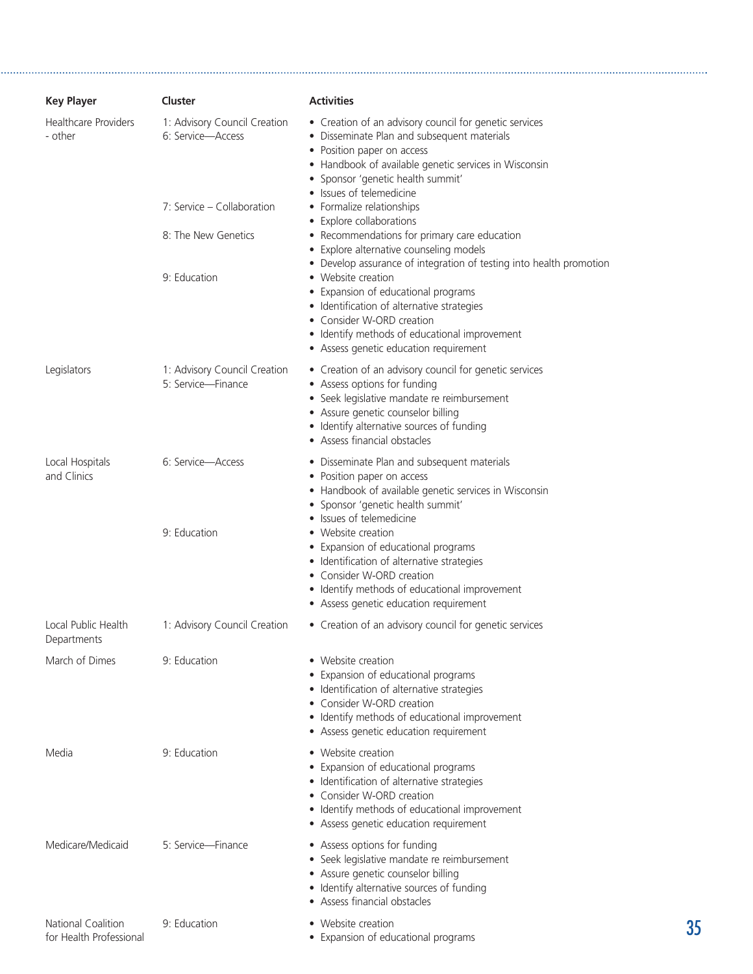| <b>Key Player</b>                             | Cluster                                            | <b>Activities</b>                                                                                                                                                                                                                                                                                      |    |
|-----------------------------------------------|----------------------------------------------------|--------------------------------------------------------------------------------------------------------------------------------------------------------------------------------------------------------------------------------------------------------------------------------------------------------|----|
| <b>Healthcare Providers</b><br>- other        | 1: Advisory Council Creation<br>6: Service-Access  | • Creation of an advisory council for genetic services<br>• Disseminate Plan and subsequent materials<br>• Position paper on access<br>• Handbook of available genetic services in Wisconsin<br>· Sponsor 'genetic health summit'                                                                      |    |
|                                               | 7: Service – Collaboration                         | • Issues of telemedicine<br>• Formalize relationships<br>• Explore collaborations                                                                                                                                                                                                                      |    |
|                                               | 8: The New Genetics                                | • Recommendations for primary care education<br>• Explore alternative counseling models                                                                                                                                                                                                                |    |
|                                               | 9: Education                                       | • Develop assurance of integration of testing into health promotion<br>• Website creation<br>• Expansion of educational programs<br>· Identification of alternative strategies<br>• Consider W-ORD creation<br>• Identify methods of educational improvement<br>• Assess genetic education requirement |    |
| Legislators                                   | 1: Advisory Council Creation<br>5: Service-Finance | • Creation of an advisory council for genetic services<br>• Assess options for funding<br>• Seek legislative mandate re reimbursement<br>• Assure genetic counselor billing<br>• Identify alternative sources of funding<br>• Assess financial obstacles                                               |    |
| Local Hospitals<br>and Clinics                | 6: Service-Access                                  | • Disseminate Plan and subsequent materials<br>• Position paper on access<br>• Handbook of available genetic services in Wisconsin<br>· Sponsor 'genetic health summit'<br>• Issues of telemedicine                                                                                                    |    |
|                                               | 9: Education                                       | • Website creation<br>• Expansion of educational programs<br>• Identification of alternative strategies<br>• Consider W-ORD creation<br>• Identify methods of educational improvement<br>• Assess genetic education requirement                                                                        |    |
| Local Public Health<br>Departments            | 1: Advisory Council Creation                       | • Creation of an advisory council for genetic services                                                                                                                                                                                                                                                 |    |
| March of Dimes                                | 9: Education                                       | • Website creation<br>• Expansion of educational programs<br>• Identification of alternative strategies<br>• Consider W-ORD creation<br>• Identify methods of educational improvement<br>• Assess genetic education requirement                                                                        |    |
| Media                                         | 9: Education                                       | • Website creation<br>• Expansion of educational programs<br>· Identification of alternative strategies<br>• Consider W-ORD creation<br>• Identify methods of educational improvement<br>• Assess genetic education requirement                                                                        |    |
| Medicare/Medicaid                             | 5: Service-Finance                                 | • Assess options for funding<br>• Seek legislative mandate re reimbursement<br>• Assure genetic counselor billing<br>• Identify alternative sources of funding<br>• Assess financial obstacles                                                                                                         |    |
| National Coalition<br>for Health Professional | 9: Education                                       | • Website creation<br>• Expansion of educational programs                                                                                                                                                                                                                                              | 35 |